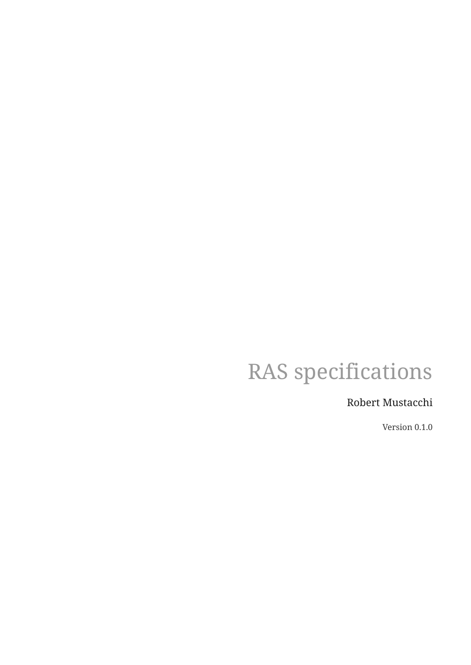# RAS specifications

## Robert Mustacchi

Version 0.1.0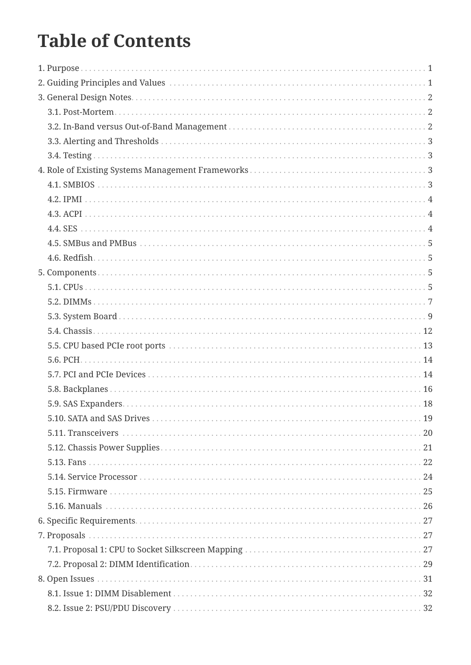# **Table of Contents**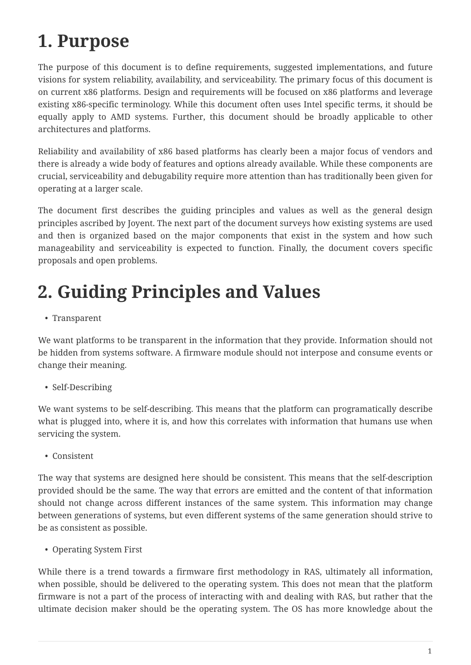# <span id="page-3-0"></span>**1. Purpose**

The purpose of this document is to define requirements, suggested implementations, and future visions for system reliability, availability, and serviceability. The primary focus of this document is on current x86 platforms. Design and requirements will be focused on x86 platforms and leverage existing x86-specific terminology. While this document often uses Intel specific terms, it should be equally apply to AMD systems. Further, this document should be broadly applicable to other architectures and platforms.

Reliability and availability of x86 based platforms has clearly been a major focus of vendors and there is already a wide body of features and options already available. While these components are crucial, serviceability and debugability require more attention than has traditionally been given for operating at a larger scale.

The document first describes the guiding principles and values as well as the general design principles ascribed by Joyent. The next part of the document surveys how existing systems are used and then is organized based on the major components that exist in the system and how such manageability and serviceability is expected to function. Finally, the document covers specific proposals and open problems.

# <span id="page-3-1"></span>**2. Guiding Principles and Values**

• Transparent

We want platforms to be transparent in the information that they provide. Information should not be hidden from systems software. A firmware module should not interpose and consume events or change their meaning.

• Self-Describing

We want systems to be self-describing. This means that the platform can programatically describe what is plugged into, where it is, and how this correlates with information that humans use when servicing the system.

• Consistent

The way that systems are designed here should be consistent. This means that the self-description provided should be the same. The way that errors are emitted and the content of that information should not change across different instances of the same system. This information may change between generations of systems, but even different systems of the same generation should strive to be as consistent as possible.

• Operating System First

While there is a trend towards a firmware first methodology in RAS, ultimately all information, when possible, should be delivered to the operating system. This does not mean that the platform firmware is not a part of the process of interacting with and dealing with RAS, but rather that the ultimate decision maker should be the operating system. The OS has more knowledge about the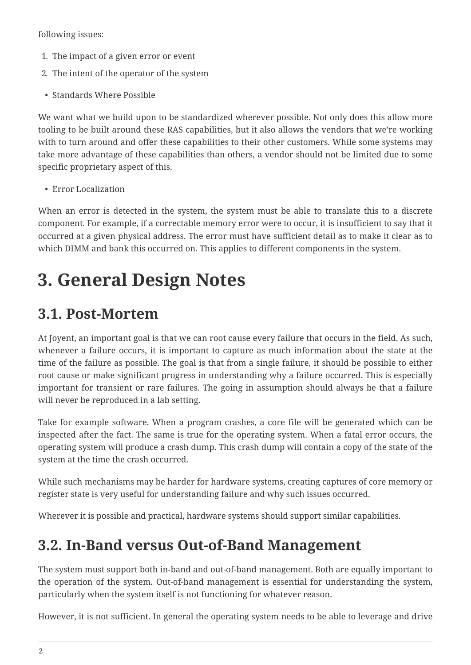following issues:

- 1. The impact of a given error or event
- 2. The intent of the operator of the system
- Standards Where Possible

We want what we build upon to be standardized wherever possible. Not only does this allow more tooling to be built around these RAS capabilities, but it also allows the vendors that we're working with to turn around and offer these capabilities to their other customers. While some systems may take more advantage of these capabilities than others, a vendor should not be limited due to some specific proprietary aspect of this.

• Error Localization

When an error is detected in the system, the system must be able to translate this to a discrete component. For example, if a correctable memory error were to occur, it is insufficient to say that it occurred at a given physical address. The error must have sufficient detail as to make it clear as to which DIMM and bank this occurred on. This applies to different components in the system.

# <span id="page-4-0"></span>**3. General Design Notes**

## <span id="page-4-1"></span>**3.1. Post-Mortem**

At Joyent, an important goal is that we can root cause every failure that occurs in the field. As such, whenever a failure occurs, it is important to capture as much information about the state at the time of the failure as possible. The goal is that from a single failure, it should be possible to either root cause or make significant progress in understanding why a failure occurred. This is especially important for transient or rare failures. The going in assumption should always be that a failure will never be reproduced in a lab setting.

Take for example software. When a program crashes, a core file will be generated which can be inspected after the fact. The same is true for the operating system. When a fatal error occurs, the operating system will produce a crash dump. This crash dump will contain a copy of the state of the system at the time the crash occurred.

While such mechanisms may be harder for hardware systems, creating captures of core memory or register state is very useful for understanding failure and why such issues occurred.

Wherever it is possible and practical, hardware systems should support similar capabilities.

## <span id="page-4-2"></span>**3.2. In-Band versus Out-of-Band Management**

The system must support both in-band and out-of-band management. Both are equally important to the operation of the system. Out-of-band management is essential for understanding the system, particularly when the system itself is not functioning for whatever reason.

However, it is not sufficient. In general the operating system needs to be able to leverage and drive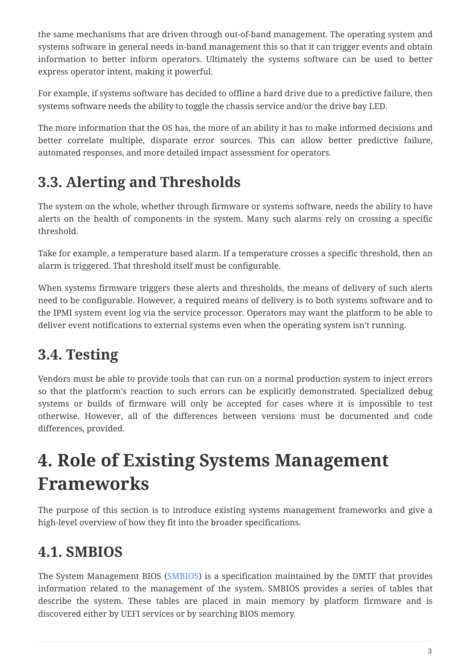the same mechanisms that are driven through out-of-band management. The operating system and systems software in general needs in-band management this so that it can trigger events and obtain information to better inform operators. Ultimately the systems software can be used to better express operator intent, making it powerful.

For example, if systems software has decided to offline a hard drive due to a predictive failure, then systems software needs the ability to toggle the chassis service and/or the drive bay LED.

The more information that the OS has, the more of an ability it has to make informed decisions and better correlate multiple, disparate error sources. This can allow better predictive failure, automated responses, and more detailed impact assessment for operators.

## <span id="page-5-0"></span>**3.3. Alerting and Thresholds**

The system on the whole, whether through firmware or systems software, needs the ability to have alerts on the health of components in the system. Many such alarms rely on crossing a specific threshold.

Take for example, a temperature based alarm. If a temperature crosses a specific threshold, then an alarm is triggered. That threshold itself must be configurable.

When systems firmware triggers these alerts and thresholds, the means of delivery of such alerts need to be configurable. However, a required means of delivery is to both systems software and to the IPMI system event log via the service processor. Operators may want the platform to be able to deliver event notifications to external systems even when the operating system isn't running.

## <span id="page-5-1"></span>**3.4. Testing**

Vendors must be able to provide tools that can run on a normal production system to inject errors so that the platform's reaction to such errors can be explicitly demonstrated. Specialized debug systems or builds of firmware will only be accepted for cases where it is impossible to test otherwise. However, all of the differences between versions must be documented and code differences, provided.

# <span id="page-5-2"></span>**4. Role of Existing Systems Management Frameworks**

The purpose of this section is to introduce existing systems management frameworks and give a high-level overview of how they fit into the broader specifications.

## <span id="page-5-3"></span>**4.1. SMBIOS**

The System Management BIOS (SMBIOS) is a specification maintained by the DMTF that provides information related to the management of the system. SMBIOS provides a series of tables that describe the system. These tables are placed in main memory by platform firmware and is discovered either by UEFI services or by searching BIOS memory.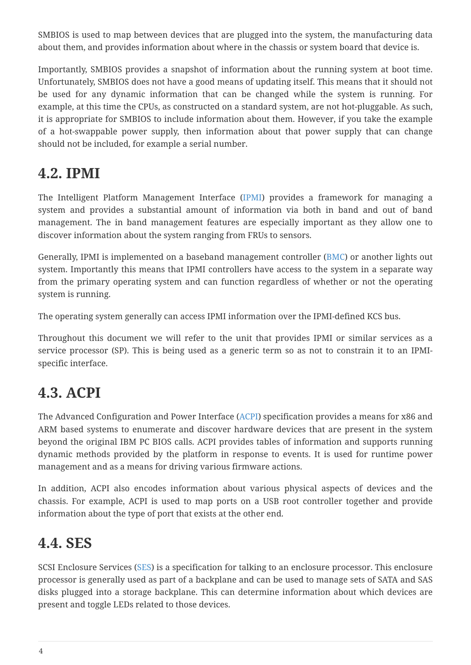SMBIOS is used to map between devices that are plugged into the system, the manufacturing data about them, and provides information about where in the chassis or system board that device is.

Importantly, SMBIOS provides a snapshot of information about the running system at boot time. Unfortunately, SMBIOS does not have a good means of updating itself. This means that it should not be used for any dynamic information that can be changed while the system is running. For example, at this time the CPUs, as constructed on a standard system, are not hot-pluggable. As such, it is appropriate for SMBIOS to include information about them. However, if you take the example of a hot-swappable power supply, then information about that power supply that can change should not be included, for example a serial number.

## <span id="page-6-0"></span>**4.2. IPMI**

The Intelligent Platform Management Interface [\(IPMI](#page-39-0)) provides a framework for managing a system and provides a substantial amount of information via both in band and out of band management. The in band management features are especially important as they allow one to discover information about the system ranging from FRUs to sensors.

Generally, IPMI is implemented on a baseband management controller ([BMC\)](#page-37-0) or another lights out system. Importantly this means that IPMI controllers have access to the system in a separate way from the primary operating system and can function regardless of whether or not the operating system is running.

The operating system generally can access IPMI information over the IPMI-defined KCS bus.

Throughout this document we will refer to the unit that provides IPMI or similar services as a service processor (SP). This is being used as a generic term so as not to constrain it to an IPMIspecific interface.

## <span id="page-6-1"></span>**4.3. ACPI**

The Advanced Configuration and Power Interface ([ACPI](#page-36-2)) specification provides a means for x86 and ARM based systems to enumerate and discover hardware devices that are present in the system beyond the original IBM PC BIOS calls. ACPI provides tables of information and supports running dynamic methods provided by the platform in response to events. It is used for runtime power management and as a means for driving various firmware actions.

In addition, ACPI also encodes information about various physical aspects of devices and the chassis. For example, ACPI is used to map ports on a USB root controller together and provide information about the type of port that exists at the other end.

## <span id="page-6-2"></span>**4.4. SES**

SCSI Enclosure Services [\(SES](#page-42-0)) is a specification for talking to an enclosure processor. This enclosure processor is generally used as part of a backplane and can be used to manage sets of SATA and SAS disks plugged into a storage backplane. This can determine information about which devices are present and toggle LEDs related to those devices.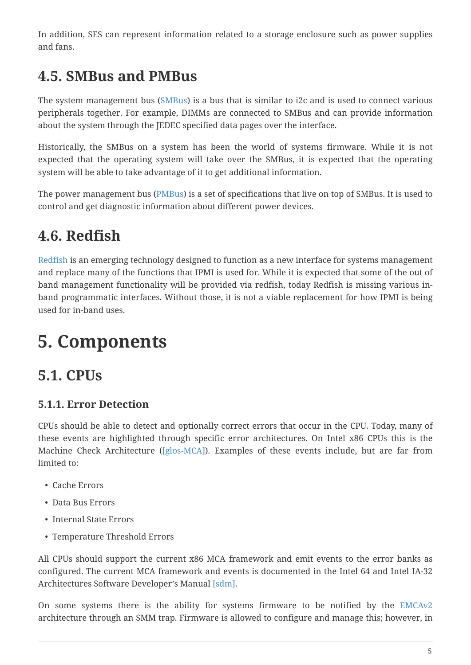In addition, SES can represent information related to a storage enclosure such as power supplies and fans.

## <span id="page-7-0"></span>**4.5. SMBus and PMBus**

The system management bus [\(SMBus\)](#page-42-1) is a bus that is similar to i2c and is used to connect various peripherals together. For example, DIMMs are connected to SMBus and can provide information about the system through the JEDEC specified data pages over the interface.

Historically, the SMBus on a system has been the world of systems firmware. While it is not expected that the operating system will take over the SMBus, it is expected that the operating system will be able to take advantage of it to get additional information.

The power management bus ([PMBus](#page-40-0)) is a set of specifications that live on top of SMBus. It is used to control and get diagnostic information about different power devices.

## <span id="page-7-1"></span>**4.6. Redfish**

[Redfish](#page-41-0) is an emerging technology designed to function as a new interface for systems management and replace many of the functions that IPMI is used for. While it is expected that some of the out of band management functionality will be provided via redfish, today Redfish is missing various inband programmatic interfaces. Without those, it is not a viable replacement for how IPMI is being used for in-band uses.

# <span id="page-7-2"></span>**5. Components**

## <span id="page-7-3"></span>**5.1. CPUs**

## **5.1.1. Error Detection**

CPUs should be able to detect and optionally correct errors that occur in the CPU. Today, many of these events are highlighted through specific error architectures. On Intel x86 CPUs this is the Machine Check Architecture [\(\[glos-MCA\]](#page-39-1)). Examples of these events include, but are far from limited to:

- Cache Errors
- Data Bus Errors
- Internal State Errors
- Temperature Threshold Errors

All CPUs should support the current x86 MCA framework and emit events to the error banks as configured. The current MCA framework and events is documented in the Intel 64 and Intel IA-32 Architectures Software Developer's Manual [\[sdm\]](#page-36-3).

On some systems there is the ability for systems firmware to be notified by the [EMCAv2](#page-38-0) architecture through an SMM trap. Firmware is allowed to configure and manage this; however, in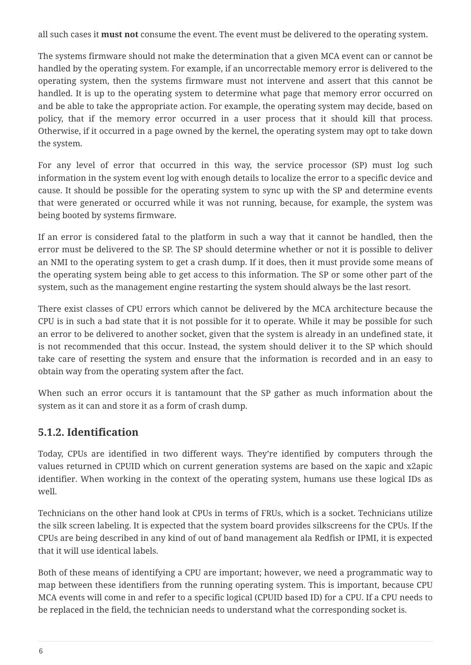all such cases it **must not** consume the event. The event must be delivered to the operating system.

The systems firmware should not make the determination that a given MCA event can or cannot be handled by the operating system. For example, if an uncorrectable memory error is delivered to the operating system, then the systems firmware must not intervene and assert that this cannot be handled. It is up to the operating system to determine what page that memory error occurred on and be able to take the appropriate action. For example, the operating system may decide, based on policy, that if the memory error occurred in a user process that it should kill that process. Otherwise, if it occurred in a page owned by the kernel, the operating system may opt to take down the system.

For any level of error that occurred in this way, the service processor (SP) must log such information in the system event log with enough details to localize the error to a specific device and cause. It should be possible for the operating system to sync up with the SP and determine events that were generated or occurred while it was not running, because, for example, the system was being booted by systems firmware.

If an error is considered fatal to the platform in such a way that it cannot be handled, then the error must be delivered to the SP. The SP should determine whether or not it is possible to deliver an NMI to the operating system to get a crash dump. If it does, then it must provide some means of the operating system being able to get access to this information. The SP or some other part of the system, such as the management engine restarting the system should always be the last resort.

There exist classes of CPU errors which cannot be delivered by the MCA architecture because the CPU is in such a bad state that it is not possible for it to operate. While it may be possible for such an error to be delivered to another socket, given that the system is already in an undefined state, it is not recommended that this occur. Instead, the system should deliver it to the SP which should take care of resetting the system and ensure that the information is recorded and in an easy to obtain way from the operating system after the fact.

When such an error occurs it is tantamount that the SP gather as much information about the system as it can and store it as a form of crash dump.

## **5.1.2. Identification**

Today, CPUs are identified in two different ways. They're identified by computers through the values returned in CPUID which on current generation systems are based on the xapic and x2apic identifier. When working in the context of the operating system, humans use these logical IDs as well.

Technicians on the other hand look at CPUs in terms of FRUs, which is a socket. Technicians utilize the silk screen labeling. It is expected that the system board provides silkscreens for the CPUs. If the CPUs are being described in any kind of out of band management ala Redfish or IPMI, it is expected that it will use identical labels.

Both of these means of identifying a CPU are important; however, we need a programmatic way to map between these identifiers from the running operating system. This is important, because CPU MCA events will come in and refer to a specific logical (CPUID based ID) for a CPU. If a CPU needs to be replaced in the field, the technician needs to understand what the corresponding socket is.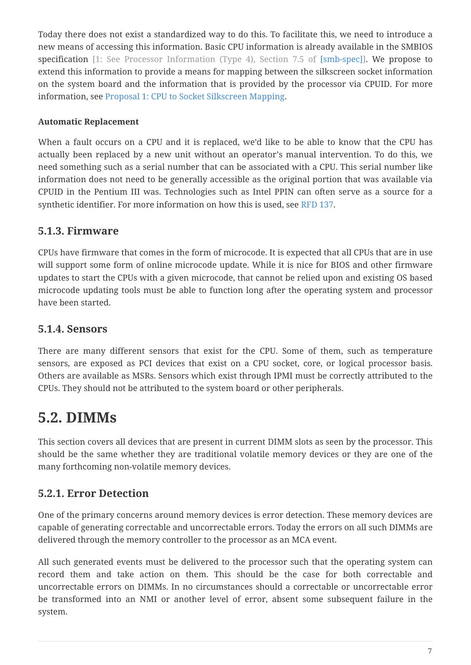Today there does not exist a standardized way to do this. To facilitate this, we need to introduce a new means of accessing this information. Basic CPU information is already available in the SMBIOS specification [1: See Processor Information (Type 4), Section 7.5 of [\[smb-spec\]\]](#page-36-4). We propose to extend this information to provide a means for mapping between the silkscreen socket information on the system board and the information that is provided by the processor via CPUID. For more information, see [Proposal 1: CPU to Socket Silkscreen Mapping.](#page-29-2)

### **Automatic Replacement**

When a fault occurs on a CPU and it is replaced, we'd like to be able to know that the CPU has actually been replaced by a new unit without an operator's manual intervention. To do this, we need something such as a serial number that can be associated with a CPU. This serial number like information does not need to be generally accessible as the original portion that was available via CPUID in the Pentium III was. Technologies such as Intel PPIN can often serve as a source for a synthetic identifier. For more information on how this is used, see [RFD 137.](#page-36-5)

### **5.1.3. Firmware**

CPUs have firmware that comes in the form of microcode. It is expected that all CPUs that are in use will support some form of online microcode update. While it is nice for BIOS and other firmware updates to start the CPUs with a given microcode, that cannot be relied upon and existing OS based microcode updating tools must be able to function long after the operating system and processor have been started.

### **5.1.4. Sensors**

There are many different sensors that exist for the CPU. Some of them, such as temperature sensors, are exposed as PCI devices that exist on a CPU socket, core, or logical processor basis. Others are available as MSRs. Sensors which exist through IPMI must be correctly attributed to the CPUs. They should not be attributed to the system board or other peripherals.

## <span id="page-9-0"></span>**5.2. DIMMs**

This section covers all devices that are present in current DIMM slots as seen by the processor. This should be the same whether they are traditional volatile memory devices or they are one of the many forthcoming non-volatile memory devices.

## **5.2.1. Error Detection**

One of the primary concerns around memory devices is error detection. These memory devices are capable of generating correctable and uncorrectable errors. Today the errors on all such DIMMs are delivered through the memory controller to the processor as an MCA event.

All such generated events must be delivered to the processor such that the operating system can record them and take action on them. This should be the case for both correctable and uncorrectable errors on DIMMs. In no circumstances should a correctable or uncorrectable error be transformed into an NMI or another level of error, absent some subsequent failure in the system.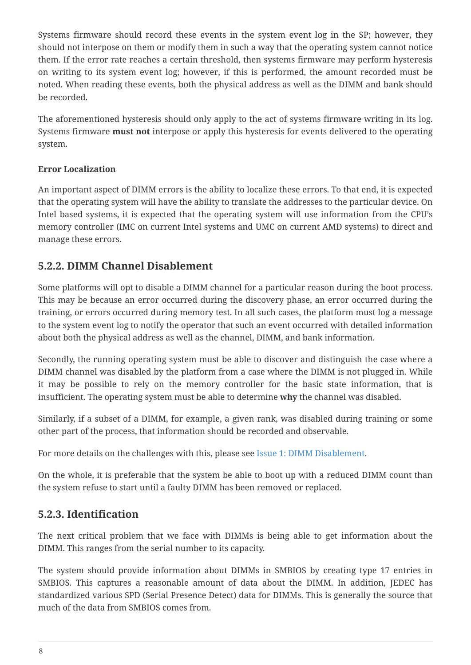Systems firmware should record these events in the system event log in the SP; however, they should not interpose on them or modify them in such a way that the operating system cannot notice them. If the error rate reaches a certain threshold, then systems firmware may perform hysteresis on writing to its system event log; however, if this is performed, the amount recorded must be noted. When reading these events, both the physical address as well as the DIMM and bank should be recorded.

The aforementioned hysteresis should only apply to the act of systems firmware writing in its log. Systems firmware **must not** interpose or apply this hysteresis for events delivered to the operating system.

### **Error Localization**

An important aspect of DIMM errors is the ability to localize these errors. To that end, it is expected that the operating system will have the ability to translate the addresses to the particular device. On Intel based systems, it is expected that the operating system will use information from the CPU's memory controller (IMC on current Intel systems and UMC on current AMD systems) to direct and manage these errors.

### **5.2.2. DIMM Channel Disablement**

Some platforms will opt to disable a DIMM channel for a particular reason during the boot process. This may be because an error occurred during the discovery phase, an error occurred during the training, or errors occurred during memory test. In all such cases, the platform must log a message to the system event log to notify the operator that such an event occurred with detailed information about both the physical address as well as the channel, DIMM, and bank information.

Secondly, the running operating system must be able to discover and distinguish the case where a DIMM channel was disabled by the platform from a case where the DIMM is not plugged in. While it may be possible to rely on the memory controller for the basic state information, that is insufficient. The operating system must be able to determine **why** the channel was disabled.

Similarly, if a subset of a DIMM, for example, a given rank, was disabled during training or some other part of the process, that information should be recorded and observable.

For more details on the challenges with this, please see [Issue 1: DIMM Disablement](#page-34-0).

On the whole, it is preferable that the system be able to boot up with a reduced DIMM count than the system refuse to start until a faulty DIMM has been removed or replaced.

### **5.2.3. Identification**

The next critical problem that we face with DIMMs is being able to get information about the DIMM. This ranges from the serial number to its capacity.

The system should provide information about DIMMs in SMBIOS by creating type 17 entries in SMBIOS. This captures a reasonable amount of data about the DIMM. In addition, JEDEC has standardized various SPD (Serial Presence Detect) data for DIMMs. This is generally the source that much of the data from SMBIOS comes from.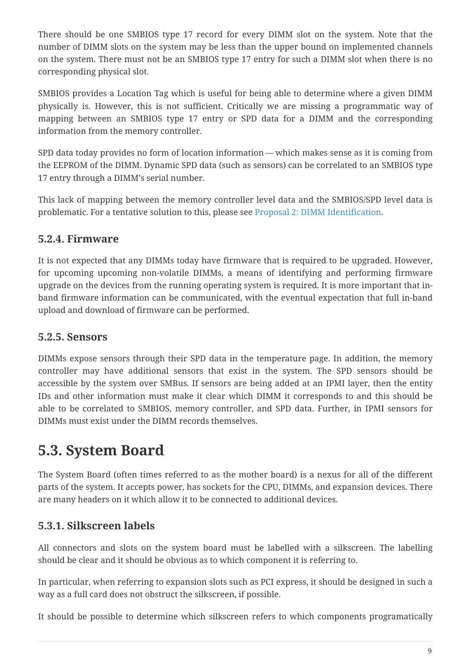There should be one SMBIOS type 17 record for every DIMM slot on the system. Note that the number of DIMM slots on the system may be less than the upper bound on implemented channels on the system. There must not be an SMBIOS type 17 entry for such a DIMM slot when there is no corresponding physical slot.

SMBIOS provides a Location Tag which is useful for being able to determine where a given DIMM physically is. However, this is not sufficient. Critically we are missing a programmatic way of mapping between an SMBIOS type 17 entry or SPD data for a DIMM and the corresponding information from the memory controller.

SPD data today provides no form of location information — which makes sense as it is coming from the EEPROM of the DIMM. Dynamic SPD data (such as sensors) can be correlated to an SMBIOS type 17 entry through a DIMM's serial number.

This lack of mapping between the memory controller level data and the SMBIOS/SPD level data is problematic. For a tentative solution to this, please see [Proposal 2: DIMM Identification.](#page-31-0)

### **5.2.4. Firmware**

It is not expected that any DIMMs today have firmware that is required to be upgraded. However, for upcoming upcoming non-volatile DIMMs, a means of identifying and performing firmware upgrade on the devices from the running operating system is required. It is more important that inband firmware information can be communicated, with the eventual expectation that full in-band upload and download of firmware can be performed.

### **5.2.5. Sensors**

DIMMs expose sensors through their SPD data in the temperature page. In addition, the memory controller may have additional sensors that exist in the system. The SPD sensors should be accessible by the system over SMBus. If sensors are being added at an IPMI layer, then the entity IDs and other information must make it clear which DIMM it corresponds to and this should be able to be correlated to SMBIOS, memory controller, and SPD data. Further, in IPMI sensors for DIMMs must exist under the DIMM records themselves.

## <span id="page-11-0"></span>**5.3. System Board**

The System Board (often times referred to as the mother board) is a nexus for all of the different parts of the system. It accepts power, has sockets for the CPU, DIMMs, and expansion devices. There are many headers on it which allow it to be connected to additional devices.

## **5.3.1. Silkscreen labels**

All connectors and slots on the system board must be labelled with a silkscreen. The labelling should be clear and it should be obvious as to which component it is referring to.

In particular, when referring to expansion slots such as PCI express, it should be designed in such a way as a full card does not obstruct the silkscreen, if possible.

It should be possible to determine which silkscreen refers to which components programatically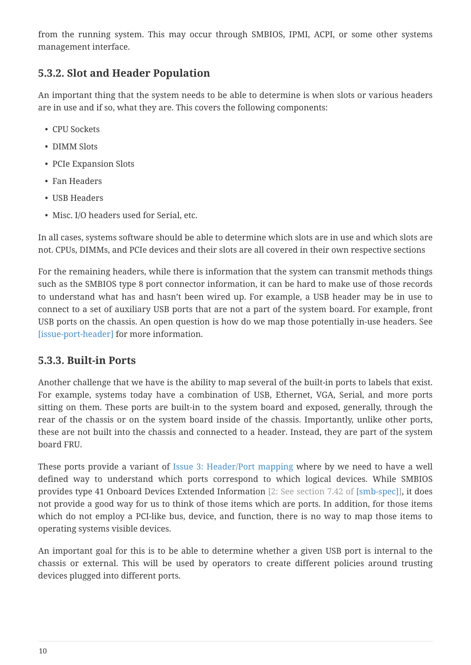from the running system. This may occur through SMBIOS, IPMI, ACPI, or some other systems management interface.

## **5.3.2. Slot and Header Population**

An important thing that the system needs to be able to determine is when slots or various headers are in use and if so, what they are. This covers the following components:

- CPU Sockets
- DIMM Slots
- PCIe Expansion Slots
- Fan Headers
- USB Headers
- Misc. I/O headers used for Serial, etc.

In all cases, systems software should be able to determine which slots are in use and which slots are not. CPUs, DIMMs, and PCIe devices and their slots are all covered in their own respective sections

For the remaining headers, while there is information that the system can transmit methods things such as the SMBIOS type 8 port connector information, it can be hard to make use of those records to understand what has and hasn't been wired up. For example, a USB header may be in use to connect to a set of auxiliary USB ports that are not a part of the system board. For example, front USB ports on the chassis. An open question is how do we map those potentially in-use headers. See [issue-port-header] for more information.

## **5.3.3. Built-in Ports**

Another challenge that we have is the ability to map several of the built-in ports to labels that exist. For example, systems today have a combination of USB, Ethernet, VGA, Serial, and more ports sitting on them. These ports are built-in to the system board and exposed, generally, through the rear of the chassis or on the system board inside of the chassis. Importantly, unlike other ports, these are not built into the chassis and connected to a header. Instead, they are part of the system board FRU.

These ports provide a variant of [Issue 3: Header/Port mapping](#page-35-0) where by we need to have a well defined way to understand which ports correspond to which logical devices. While SMBIOS provides type 41 Onboard Devices Extended Information [2: See section 7.42 of [\[smb-spec\]](#page-36-4)], it does not provide a good way for us to think of those items which are ports. In addition, for those items which do not employ a PCI-like bus, device, and function, there is no way to map those items to operating systems visible devices.

An important goal for this is to be able to determine whether a given USB port is internal to the chassis or external. This will be used by operators to create different policies around trusting devices plugged into different ports.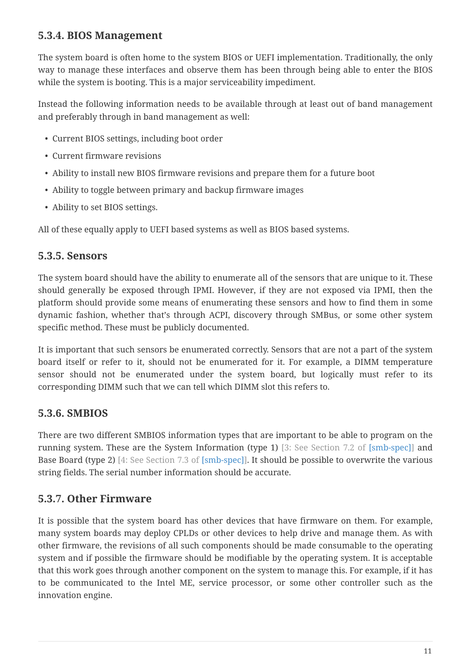### **5.3.4. BIOS Management**

The system board is often home to the system BIOS or UEFI implementation. Traditionally, the only way to manage these interfaces and observe them has been through being able to enter the BIOS while the system is booting. This is a major serviceability impediment.

Instead the following information needs to be available through at least out of band management and preferably through in band management as well:

- Current BIOS settings, including boot order
- Current firmware revisions
- Ability to install new BIOS firmware revisions and prepare them for a future boot
- Ability to toggle between primary and backup firmware images
- Ability to set BIOS settings.

All of these equally apply to UEFI based systems as well as BIOS based systems.

### **5.3.5. Sensors**

The system board should have the ability to enumerate all of the sensors that are unique to it. These should generally be exposed through IPMI. However, if they are not exposed via IPMI, then the platform should provide some means of enumerating these sensors and how to find them in some dynamic fashion, whether that's through ACPI, discovery through SMBus, or some other system specific method. These must be publicly documented.

It is important that such sensors be enumerated correctly. Sensors that are not a part of the system board itself or refer to it, should not be enumerated for it. For example, a DIMM temperature sensor should not be enumerated under the system board, but logically must refer to its corresponding DIMM such that we can tell which DIMM slot this refers to.

### **5.3.6. SMBIOS**

There are two different SMBIOS information types that are important to be able to program on the running system. These are the System Information (type 1) [3: See Section 7.2 of [\[smb-spec\]](#page-36-4)] and Base Board (type 2) [4: See Section 7.3 of [\[smb-spec\]\]](#page-36-4). It should be possible to overwrite the various string fields. The serial number information should be accurate.

## **5.3.7. Other Firmware**

It is possible that the system board has other devices that have firmware on them. For example, many system boards may deploy CPLDs or other devices to help drive and manage them. As with other firmware, the revisions of all such components should be made consumable to the operating system and if possible the firmware should be modifiable by the operating system. It is acceptable that this work goes through another component on the system to manage this. For example, if it has to be communicated to the Intel ME, service processor, or some other controller such as the innovation engine.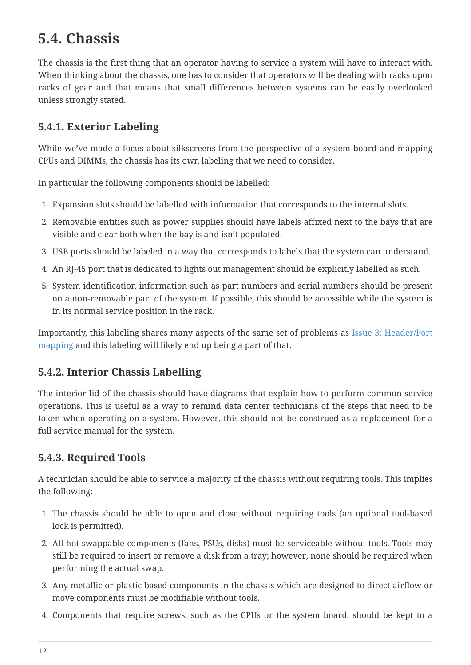## <span id="page-14-0"></span>**5.4. Chassis**

The chassis is the first thing that an operator having to service a system will have to interact with. When thinking about the chassis, one has to consider that operators will be dealing with racks upon racks of gear and that means that small differences between systems can be easily overlooked unless strongly stated.

## **5.4.1. Exterior Labeling**

While we've made a focus about silkscreens from the perspective of a system board and mapping CPUs and DIMMs, the chassis has its own labeling that we need to consider.

In particular the following components should be labelled:

- 1. Expansion slots should be labelled with information that corresponds to the internal slots.
- 2. Removable entities such as power supplies should have labels affixed next to the bays that are visible and clear both when the bay is and isn't populated.
- 3. USB ports should be labeled in a way that corresponds to labels that the system can understand.
- 4. An RJ-45 port that is dedicated to lights out management should be explicitly labelled as such.
- 5. System identification information such as part numbers and serial numbers should be present on a non-removable part of the system. If possible, this should be accessible while the system is in its normal service position in the rack.

Importantly, this labeling shares many aspects of the same set of problems as [Issue 3: Header/Port](#page-35-0) [mapping](#page-35-0) and this labeling will likely end up being a part of that.

## **5.4.2. Interior Chassis Labelling**

The interior lid of the chassis should have diagrams that explain how to perform common service operations. This is useful as a way to remind data center technicians of the steps that need to be taken when operating on a system. However, this should not be construed as a replacement for a full service manual for the system.

## **5.4.3. Required Tools**

A technician should be able to service a majority of the chassis without requiring tools. This implies the following:

- 1. The chassis should be able to open and close without requiring tools (an optional tool-based lock is permitted).
- 2. All hot swappable components (fans, PSUs, disks) must be serviceable without tools. Tools may still be required to insert or remove a disk from a tray; however, none should be required when performing the actual swap.
- 3. Any metallic or plastic based components in the chassis which are designed to direct airflow or move components must be modifiable without tools.
- 4. Components that require screws, such as the CPUs or the system board, should be kept to a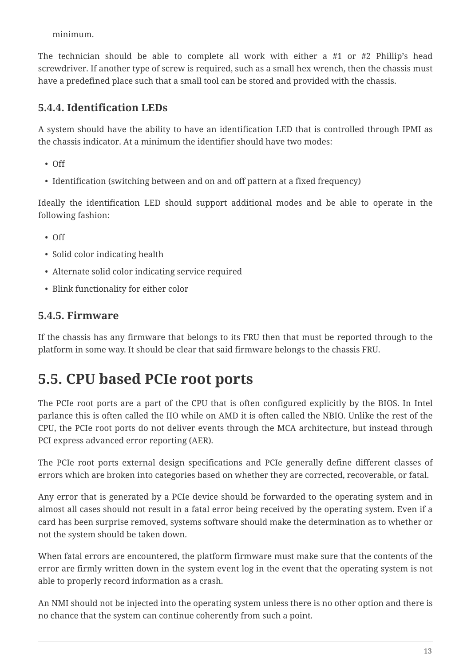minimum.

The technician should be able to complete all work with either a #1 or #2 Phillip's head screwdriver. If another type of screw is required, such as a small hex wrench, then the chassis must have a predefined place such that a small tool can be stored and provided with the chassis.

## **5.4.4. Identification LEDs**

A system should have the ability to have an identification LED that is controlled through IPMI as the chassis indicator. At a minimum the identifier should have two modes:

- Off
- Identification (switching between and on and off pattern at a fixed frequency)

Ideally the identification LED should support additional modes and be able to operate in the following fashion:

- Off
- Solid color indicating health
- Alternate solid color indicating service required
- Blink functionality for either color

## **5.4.5. Firmware**

If the chassis has any firmware that belongs to its FRU then that must be reported through to the platform in some way. It should be clear that said firmware belongs to the chassis FRU.

## <span id="page-15-0"></span>**5.5. CPU based PCIe root ports**

The PCIe root ports are a part of the CPU that is often configured explicitly by the BIOS. In Intel parlance this is often called the IIO while on AMD it is often called the NBIO. Unlike the rest of the CPU, the PCIe root ports do not deliver events through the MCA architecture, but instead through PCI express advanced error reporting (AER).

The PCIe root ports external design specifications and PCIe generally define different classes of errors which are broken into categories based on whether they are corrected, recoverable, or fatal.

Any error that is generated by a PCIe device should be forwarded to the operating system and in almost all cases should not result in a fatal error being received by the operating system. Even if a card has been surprise removed, systems software should make the determination as to whether or not the system should be taken down.

When fatal errors are encountered, the platform firmware must make sure that the contents of the error are firmly written down in the system event log in the event that the operating system is not able to properly record information as a crash.

An NMI should not be injected into the operating system unless there is no other option and there is no chance that the system can continue coherently from such a point.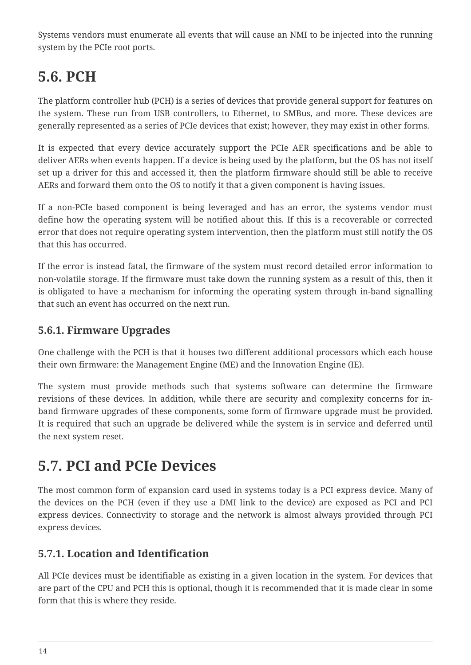Systems vendors must enumerate all events that will cause an NMI to be injected into the running system by the PCIe root ports.

## <span id="page-16-0"></span>**5.6. PCH**

The platform controller hub (PCH) is a series of devices that provide general support for features on the system. These run from USB controllers, to Ethernet, to SMBus, and more. These devices are generally represented as a series of PCIe devices that exist; however, they may exist in other forms.

It is expected that every device accurately support the PCIe AER specifications and be able to deliver AERs when events happen. If a device is being used by the platform, but the OS has not itself set up a driver for this and accessed it, then the platform firmware should still be able to receive AERs and forward them onto the OS to notify it that a given component is having issues.

If a non-PCIe based component is being leveraged and has an error, the systems vendor must define how the operating system will be notified about this. If this is a recoverable or corrected error that does not require operating system intervention, then the platform must still notify the OS that this has occurred.

If the error is instead fatal, the firmware of the system must record detailed error information to non-volatile storage. If the firmware must take down the running system as a result of this, then it is obligated to have a mechanism for informing the operating system through in-band signalling that such an event has occurred on the next run.

### **5.6.1. Firmware Upgrades**

One challenge with the PCH is that it houses two different additional processors which each house their own firmware: the Management Engine (ME) and the Innovation Engine (IE).

The system must provide methods such that systems software can determine the firmware revisions of these devices. In addition, while there are security and complexity concerns for inband firmware upgrades of these components, some form of firmware upgrade must be provided. It is required that such an upgrade be delivered while the system is in service and deferred until the next system reset.

## <span id="page-16-1"></span>**5.7. PCI and PCIe Devices**

The most common form of expansion card used in systems today is a PCI express device. Many of the devices on the PCH (even if they use a DMI link to the device) are exposed as PCI and PCI express devices. Connectivity to storage and the network is almost always provided through PCI express devices.

## **5.7.1. Location and Identification**

All PCIe devices must be identifiable as existing in a given location in the system. For devices that are part of the CPU and PCH this is optional, though it is recommended that it is made clear in some form that this is where they reside.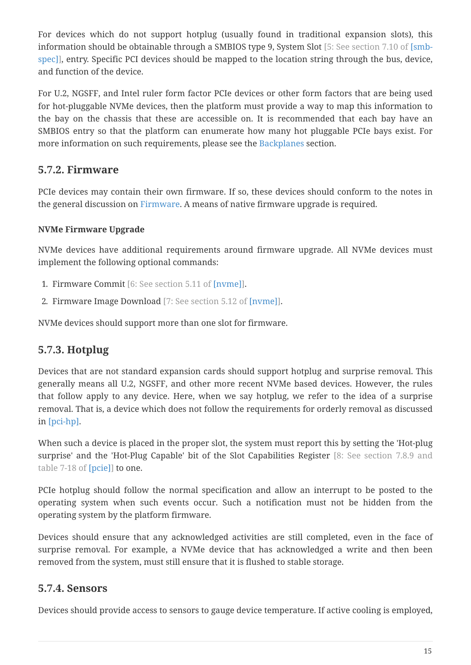For devices which do not support hotplug (usually found in traditional expansion slots), this information should be obtainable through a SMBIOS type 9, System Slot [5: See section 7.10 of [\[smb](#page-36-4)[spec\]\]](#page-36-4), entry. Specific PCI devices should be mapped to the location string through the bus, device, and function of the device.

For U.2, NGSFF, and Intel ruler form factor PCIe devices or other form factors that are being used for hot-pluggable NVMe devices, then the platform must provide a way to map this information to the bay on the chassis that these are accessible on. It is recommended that each bay have an SMBIOS entry so that the platform can enumerate how many hot pluggable PCIe bays exist. For more information on such requirements, please see the [Backplanes](#page-18-0) section.

### **5.7.2. Firmware**

PCIe devices may contain their own firmware. If so, these devices should conform to the notes in the general discussion on [Firmware](#page-27-0). A means of native firmware upgrade is required.

### **NVMe Firmware Upgrade**

NVMe devices have additional requirements around firmware upgrade. All NVMe devices must implement the following optional commands:

- 1. Firmware Commit [6: See section 5.11 of [\[nvme\]\]](#page-36-6).
- 2. Firmware Image Download [7: See section 5.12 of [\[nvme\]](#page-36-6)].

NVMe devices should support more than one slot for firmware.

## **5.7.3. Hotplug**

Devices that are not standard expansion cards should support hotplug and surprise removal. This generally means all U.2, NGSFF, and other more recent NVMe based devices. However, the rules that follow apply to any device. Here, when we say hotplug, we refer to the idea of a surprise removal. That is, a device which does not follow the requirements for orderly removal as discussed in [pci-hp].

When such a device is placed in the proper slot, the system must report this by setting the 'Hot-plug surprise' and the 'Hot-Plug Capable' bit of the Slot Capabilities Register [8: See section 7.8.9 and table 7-18 of [\[pcie\]](#page-36-7)] to one.

PCIe hotplug should follow the normal specification and allow an interrupt to be posted to the operating system when such events occur. Such a notification must not be hidden from the operating system by the platform firmware.

Devices should ensure that any acknowledged activities are still completed, even in the face of surprise removal. For example, a NVMe device that has acknowledged a write and then been removed from the system, must still ensure that it is flushed to stable storage.

## **5.7.4. Sensors**

Devices should provide access to sensors to gauge device temperature. If active cooling is employed,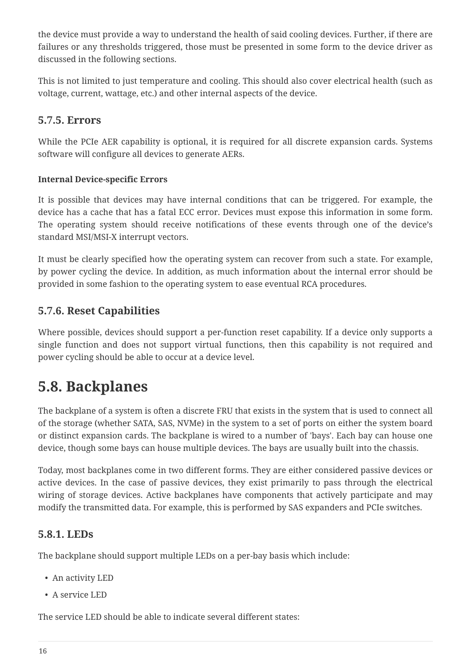the device must provide a way to understand the health of said cooling devices. Further, if there are failures or any thresholds triggered, those must be presented in some form to the device driver as discussed in the following sections.

This is not limited to just temperature and cooling. This should also cover electrical health (such as voltage, current, wattage, etc.) and other internal aspects of the device.

### **5.7.5. Errors**

While the PCIe AER capability is optional, it is required for all discrete expansion cards. Systems software will configure all devices to generate AERs.

### **Internal Device-specific Errors**

It is possible that devices may have internal conditions that can be triggered. For example, the device has a cache that has a fatal ECC error. Devices must expose this information in some form. The operating system should receive notifications of these events through one of the device's standard MSI/MSI-X interrupt vectors.

It must be clearly specified how the operating system can recover from such a state. For example, by power cycling the device. In addition, as much information about the internal error should be provided in some fashion to the operating system to ease eventual RCA procedures.

### **5.7.6. Reset Capabilities**

Where possible, devices should support a per-function reset capability. If a device only supports a single function and does not support virtual functions, then this capability is not required and power cycling should be able to occur at a device level.

## <span id="page-18-0"></span>**5.8. Backplanes**

The backplane of a system is often a discrete FRU that exists in the system that is used to connect all of the storage (whether SATA, SAS, NVMe) in the system to a set of ports on either the system board or distinct expansion cards. The backplane is wired to a number of 'bays'. Each bay can house one device, though some bays can house multiple devices. The bays are usually built into the chassis.

Today, most backplanes come in two different forms. They are either considered passive devices or active devices. In the case of passive devices, they exist primarily to pass through the electrical wiring of storage devices. Active backplanes have components that actively participate and may modify the transmitted data. For example, this is performed by SAS expanders and PCIe switches.

### **5.8.1. LEDs**

The backplane should support multiple LEDs on a per-bay basis which include:

- An activity LED
- A service LED

The service LED should be able to indicate several different states: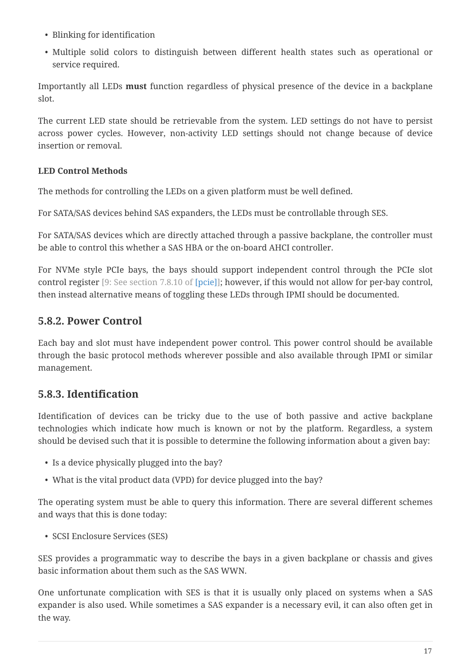- Blinking for identification
- Multiple solid colors to distinguish between different health states such as operational or service required.

Importantly all LEDs **must** function regardless of physical presence of the device in a backplane slot.

The current LED state should be retrievable from the system. LED settings do not have to persist across power cycles. However, non-activity LED settings should not change because of device insertion or removal.

### **LED Control Methods**

The methods for controlling the LEDs on a given platform must be well defined.

For SATA/SAS devices behind SAS expanders, the LEDs must be controllable through SES.

For SATA/SAS devices which are directly attached through a passive backplane, the controller must be able to control this whether a SAS HBA or the on-board AHCI controller.

For NVMe style PCIe bays, the bays should support independent control through the PCIe slot control register [9: See section 7.8.10 of [\[pcie\]\]](#page-36-7); however, if this would not allow for per-bay control, then instead alternative means of toggling these LEDs through IPMI should be documented.

### **5.8.2. Power Control**

Each bay and slot must have independent power control. This power control should be available through the basic protocol methods wherever possible and also available through IPMI or similar management.

## **5.8.3. Identification**

Identification of devices can be tricky due to the use of both passive and active backplane technologies which indicate how much is known or not by the platform. Regardless, a system should be devised such that it is possible to determine the following information about a given bay:

- Is a device physically plugged into the bay?
- What is the vital product data (VPD) for device plugged into the bay?

The operating system must be able to query this information. There are several different schemes and ways that this is done today:

• SCSI Enclosure Services (SES)

SES provides a programmatic way to describe the bays in a given backplane or chassis and gives basic information about them such as the SAS WWN.

One unfortunate complication with SES is that it is usually only placed on systems when a SAS expander is also used. While sometimes a SAS expander is a necessary evil, it can also often get in the way.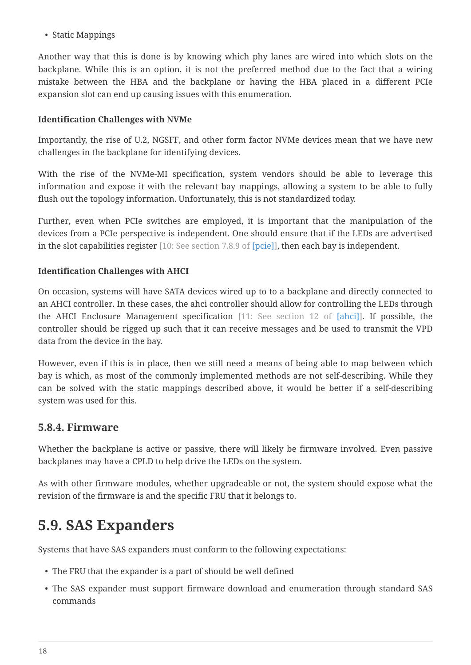• Static Mappings

Another way that this is done is by knowing which phy lanes are wired into which slots on the backplane. While this is an option, it is not the preferred method due to the fact that a wiring mistake between the HBA and the backplane or having the HBA placed in a different PCIe expansion slot can end up causing issues with this enumeration.

### **Identification Challenges with NVMe**

Importantly, the rise of U.2, NGSFF, and other form factor NVMe devices mean that we have new challenges in the backplane for identifying devices.

With the rise of the NVMe-MI specification, system vendors should be able to leverage this information and expose it with the relevant bay mappings, allowing a system to be able to fully flush out the topology information. Unfortunately, this is not standardized today.

Further, even when PCIe switches are employed, it is important that the manipulation of the devices from a PCIe perspective is independent. One should ensure that if the LEDs are advertised in the slot capabilities register [10: See section 7.8.9 of [\[pcie\]\]](#page-36-7), then each bay is independent.

### **Identification Challenges with AHCI**

On occasion, systems will have SATA devices wired up to to a backplane and directly connected to an AHCI controller. In these cases, the ahci controller should allow for controlling the LEDs through the AHCI Enclosure Management specification [11: See section 12 of [\[ahci\]](#page-36-8)]. If possible, the controller should be rigged up such that it can receive messages and be used to transmit the VPD data from the device in the bay.

However, even if this is in place, then we still need a means of being able to map between which bay is which, as most of the commonly implemented methods are not self-describing. While they can be solved with the static mappings described above, it would be better if a self-describing system was used for this.

### **5.8.4. Firmware**

Whether the backplane is active or passive, there will likely be firmware involved. Even passive backplanes may have a CPLD to help drive the LEDs on the system.

As with other firmware modules, whether upgradeable or not, the system should expose what the revision of the firmware is and the specific FRU that it belongs to.

## <span id="page-20-0"></span>**5.9. SAS Expanders**

Systems that have SAS expanders must conform to the following expectations:

- The FRU that the expander is a part of should be well defined
- The SAS expander must support firmware download and enumeration through standard SAS commands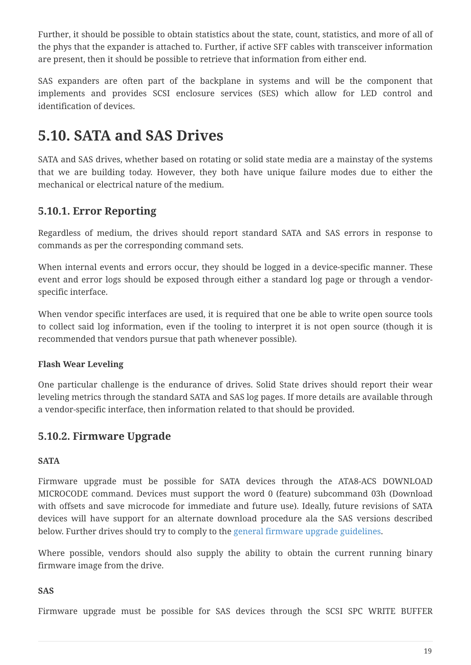Further, it should be possible to obtain statistics about the state, count, statistics, and more of all of the phys that the expander is attached to. Further, if active SFF cables with transceiver information are present, then it should be possible to retrieve that information from either end.

SAS expanders are often part of the backplane in systems and will be the component that implements and provides SCSI enclosure services (SES) which allow for LED control and identification of devices.

## <span id="page-21-0"></span>**5.10. SATA and SAS Drives**

SATA and SAS drives, whether based on rotating or solid state media are a mainstay of the systems that we are building today. However, they both have unique failure modes due to either the mechanical or electrical nature of the medium.

## **5.10.1. Error Reporting**

Regardless of medium, the drives should report standard SATA and SAS errors in response to commands as per the corresponding command sets.

When internal events and errors occur, they should be logged in a device-specific manner. These event and error logs should be exposed through either a standard log page or through a vendorspecific interface.

When vendor specific interfaces are used, it is required that one be able to write open source tools to collect said log information, even if the tooling to interpret it is not open source (though it is recommended that vendors pursue that path whenever possible).

### **Flash Wear Leveling**

One particular challenge is the endurance of drives. Solid State drives should report their wear leveling metrics through the standard SATA and SAS log pages. If more details are available through a vendor-specific interface, then information related to that should be provided.

### **5.10.2. Firmware Upgrade**

### **SATA**

Firmware upgrade must be possible for SATA devices through the ATA8-ACS DOWNLOAD MICROCODE command. Devices must support the word 0 (feature) subcommand 03h (Download with offsets and save microcode for immediate and future use). Ideally, future revisions of SATA devices will have support for an alternate download procedure ala the SAS versions described below. Further drives should try to comply to the general firmware upgrade guidelines.

Where possible, vendors should also supply the ability to obtain the current running binary firmware image from the drive.

### **SAS**

Firmware upgrade must be possible for SAS devices through the SCSI SPC WRITE BUFFER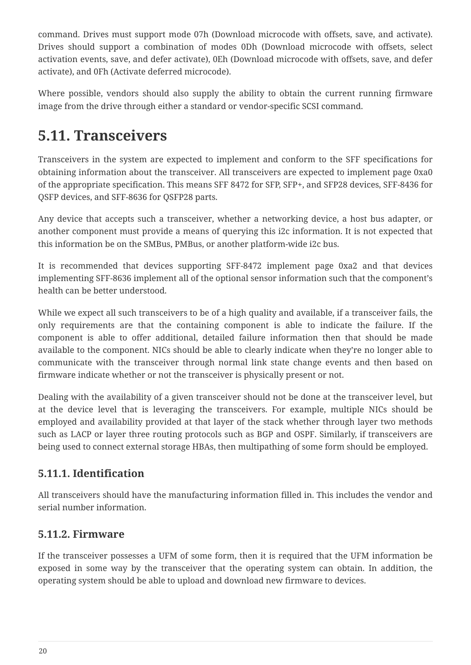command. Drives must support mode 07h (Download microcode with offsets, save, and activate). Drives should support a combination of modes 0Dh (Download microcode with offsets, select activation events, save, and defer activate), 0Eh (Download microcode with offsets, save, and defer activate), and 0Fh (Activate deferred microcode).

Where possible, vendors should also supply the ability to obtain the current running firmware image from the drive through either a standard or vendor-specific SCSI command.

## <span id="page-22-0"></span>**5.11. Transceivers**

Transceivers in the system are expected to implement and conform to the SFF specifications for obtaining information about the transceiver. All transceivers are expected to implement page 0xa0 of the appropriate specification. This means SFF 8472 for SFP, SFP+, and SFP28 devices, SFF-8436 for QSFP devices, and SFF-8636 for QSFP28 parts.

Any device that accepts such a transceiver, whether a networking device, a host bus adapter, or another component must provide a means of querying this i2c information. It is not expected that this information be on the SMBus, PMBus, or another platform-wide i2c bus.

It is recommended that devices supporting SFF-8472 implement page 0xa2 and that devices implementing SFF-8636 implement all of the optional sensor information such that the component's health can be better understood.

While we expect all such transceivers to be of a high quality and available, if a transceiver fails, the only requirements are that the containing component is able to indicate the failure. If the component is able to offer additional, detailed failure information then that should be made available to the component. NICs should be able to clearly indicate when they're no longer able to communicate with the transceiver through normal link state change events and then based on firmware indicate whether or not the transceiver is physically present or not.

Dealing with the availability of a given transceiver should not be done at the transceiver level, but at the device level that is leveraging the transceivers. For example, multiple NICs should be employed and availability provided at that layer of the stack whether through layer two methods such as LACP or layer three routing protocols such as BGP and OSPF. Similarly, if transceivers are being used to connect external storage HBAs, then multipathing of some form should be employed.

## **5.11.1. Identification**

All transceivers should have the manufacturing information filled in. This includes the vendor and serial number information.

### **5.11.2. Firmware**

If the transceiver possesses a UFM of some form, then it is required that the UFM information be exposed in some way by the transceiver that the operating system can obtain. In addition, the operating system should be able to upload and download new firmware to devices.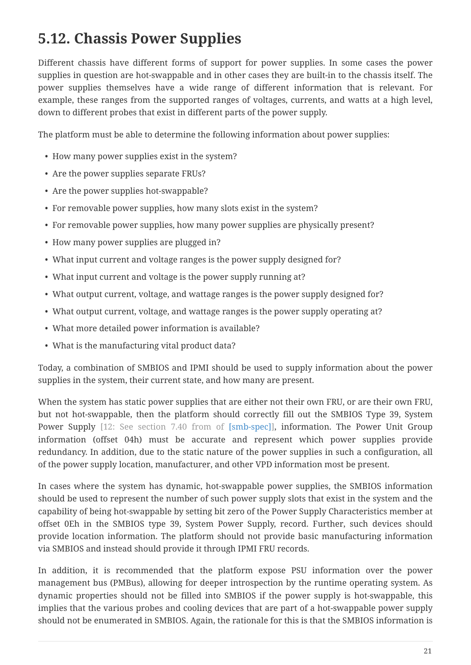## <span id="page-23-0"></span>**5.12. Chassis Power Supplies**

Different chassis have different forms of support for power supplies. In some cases the power supplies in question are hot-swappable and in other cases they are built-in to the chassis itself. The power supplies themselves have a wide range of different information that is relevant. For example, these ranges from the supported ranges of voltages, currents, and watts at a high level, down to different probes that exist in different parts of the power supply.

The platform must be able to determine the following information about power supplies:

- How many power supplies exist in the system?
- Are the power supplies separate FRUs?
- Are the power supplies hot-swappable?
- For removable power supplies, how many slots exist in the system?
- For removable power supplies, how many power supplies are physically present?
- How many power supplies are plugged in?
- What input current and voltage ranges is the power supply designed for?
- What input current and voltage is the power supply running at?
- What output current, voltage, and wattage ranges is the power supply designed for?
- What output current, voltage, and wattage ranges is the power supply operating at?
- What more detailed power information is available?
- What is the manufacturing vital product data?

Today, a combination of SMBIOS and IPMI should be used to supply information about the power supplies in the system, their current state, and how many are present.

When the system has static power supplies that are either not their own FRU, or are their own FRU, but not hot-swappable, then the platform should correctly fill out the SMBIOS Type 39, System Power Supply [12: See section 7.40 from of [\[smb-spec\]](#page-36-4)], information. The Power Unit Group information (offset 04h) must be accurate and represent which power supplies provide redundancy. In addition, due to the static nature of the power supplies in such a configuration, all of the power supply location, manufacturer, and other VPD information most be present.

In cases where the system has dynamic, hot-swappable power supplies, the SMBIOS information should be used to represent the number of such power supply slots that exist in the system and the capability of being hot-swappable by setting bit zero of the Power Supply Characteristics member at offset 0Eh in the SMBIOS type 39, System Power Supply, record. Further, such devices should provide location information. The platform should not provide basic manufacturing information via SMBIOS and instead should provide it through IPMI FRU records.

In addition, it is recommended that the platform expose PSU information over the power management bus (PMBus), allowing for deeper introspection by the runtime operating system. As dynamic properties should not be filled into SMBIOS if the power supply is hot-swappable, this implies that the various probes and cooling devices that are part of a hot-swappable power supply should not be enumerated in SMBIOS. Again, the rationale for this is that the SMBIOS information is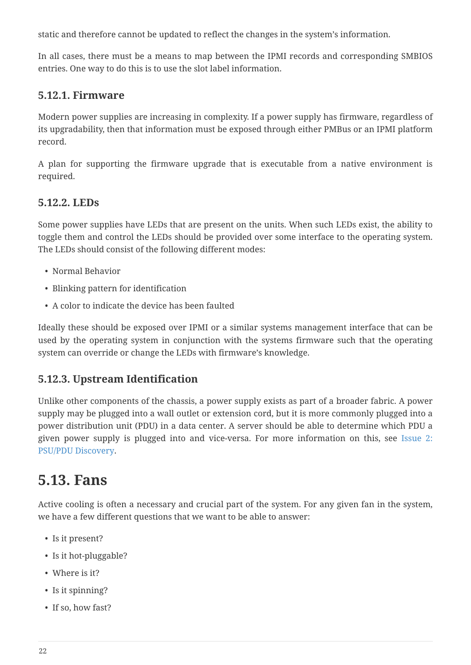static and therefore cannot be updated to reflect the changes in the system's information.

In all cases, there must be a means to map between the IPMI records and corresponding SMBIOS entries. One way to do this is to use the slot label information.

### **5.12.1. Firmware**

Modern power supplies are increasing in complexity. If a power supply has firmware, regardless of its upgradability, then that information must be exposed through either PMBus or an IPMI platform record.

A plan for supporting the firmware upgrade that is executable from a native environment is required.

### **5.12.2. LEDs**

Some power supplies have LEDs that are present on the units. When such LEDs exist, the ability to toggle them and control the LEDs should be provided over some interface to the operating system. The LEDs should consist of the following different modes:

- Normal Behavior
- Blinking pattern for identification
- A color to indicate the device has been faulted

Ideally these should be exposed over IPMI or a similar systems management interface that can be used by the operating system in conjunction with the systems firmware such that the operating system can override or change the LEDs with firmware's knowledge.

### **5.12.3. Upstream Identification**

Unlike other components of the chassis, a power supply exists as part of a broader fabric. A power supply may be plugged into a wall outlet or extension cord, but it is more commonly plugged into a power distribution unit (PDU) in a data center. A server should be able to determine which PDU a given power supply is plugged into and vice-versa. For more information on this, see [Issue 2:](#page-34-1) [PSU/PDU Discovery.](#page-34-1)

## <span id="page-24-0"></span>**5.13. Fans**

Active cooling is often a necessary and crucial part of the system. For any given fan in the system, we have a few different questions that we want to be able to answer:

- Is it present?
- Is it hot-pluggable?
- Where is it?
- Is it spinning?
- If so, how fast?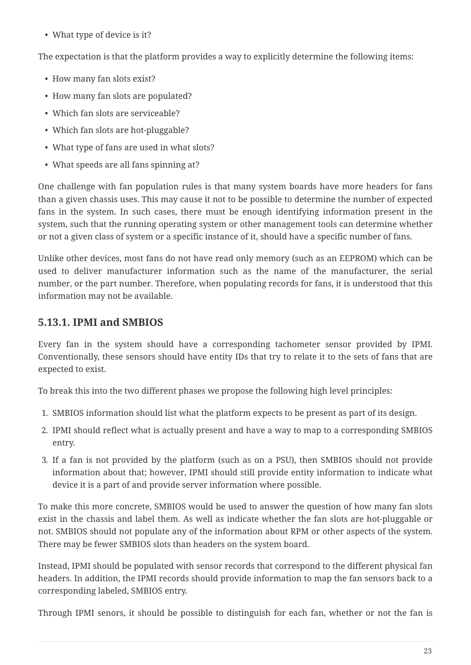• What type of device is it?

The expectation is that the platform provides a way to explicitly determine the following items:

- How many fan slots exist?
- How many fan slots are populated?
- Which fan slots are serviceable?
- Which fan slots are hot-pluggable?
- What type of fans are used in what slots?
- What speeds are all fans spinning at?

One challenge with fan population rules is that many system boards have more headers for fans than a given chassis uses. This may cause it not to be possible to determine the number of expected fans in the system. In such cases, there must be enough identifying information present in the system, such that the running operating system or other management tools can determine whether or not a given class of system or a specific instance of it, should have a specific number of fans.

Unlike other devices, most fans do not have read only memory (such as an EEPROM) which can be used to deliver manufacturer information such as the name of the manufacturer, the serial number, or the part number. Therefore, when populating records for fans, it is understood that this information may not be available.

### **5.13.1. IPMI and SMBIOS**

Every fan in the system should have a corresponding tachometer sensor provided by IPMI. Conventionally, these sensors should have entity IDs that try to relate it to the sets of fans that are expected to exist.

To break this into the two different phases we propose the following high level principles:

- 1. SMBIOS information should list what the platform expects to be present as part of its design.
- 2. IPMI should reflect what is actually present and have a way to map to a corresponding SMBIOS entry.
- 3. If a fan is not provided by the platform (such as on a PSU), then SMBIOS should not provide information about that; however, IPMI should still provide entity information to indicate what device it is a part of and provide server information where possible.

To make this more concrete, SMBIOS would be used to answer the question of how many fan slots exist in the chassis and label them. As well as indicate whether the fan slots are hot-pluggable or not. SMBIOS should not populate any of the information about RPM or other aspects of the system. There may be fewer SMBIOS slots than headers on the system board.

Instead, IPMI should be populated with sensor records that correspond to the different physical fan headers. In addition, the IPMI records should provide information to map the fan sensors back to a corresponding labeled, SMBIOS entry.

Through IPMI senors, it should be possible to distinguish for each fan, whether or not the fan is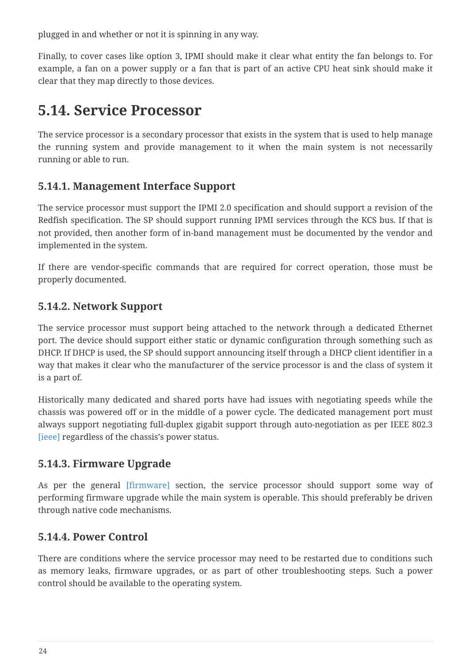plugged in and whether or not it is spinning in any way.

Finally, to cover cases like option 3, IPMI should make it clear what entity the fan belongs to. For example, a fan on a power supply or a fan that is part of an active CPU heat sink should make it clear that they map directly to those devices.

## <span id="page-26-0"></span>**5.14. Service Processor**

The service processor is a secondary processor that exists in the system that is used to help manage the running system and provide management to it when the main system is not necessarily running or able to run.

## **5.14.1. Management Interface Support**

The service processor must support the IPMI 2.0 specification and should support a revision of the Redfish specification. The SP should support running IPMI services through the KCS bus. If that is not provided, then another form of in-band management must be documented by the vendor and implemented in the system.

If there are vendor-specific commands that are required for correct operation, those must be properly documented.

### **5.14.2. Network Support**

The service processor must support being attached to the network through a dedicated Ethernet port. The device should support either static or dynamic configuration through something such as DHCP. If DHCP is used, the SP should support announcing itself through a DHCP client identifier in a way that makes it clear who the manufacturer of the service processor is and the class of system it is a part of.

Historically many dedicated and shared ports have had issues with negotiating speeds while the chassis was powered off or in the middle of a power cycle. The dedicated management port must always support negotiating full-duplex gigabit support through auto-negotiation as per IEEE 802.3 [\[ieee\]](#page-36-9) regardless of the chassis's power status.

## **5.14.3. Firmware Upgrade**

As per the general [firmware] section, the service processor should support some way of performing firmware upgrade while the main system is operable. This should preferably be driven through native code mechanisms.

### **5.14.4. Power Control**

There are conditions where the service processor may need to be restarted due to conditions such as memory leaks, firmware upgrades, or as part of other troubleshooting steps. Such a power control should be available to the operating system.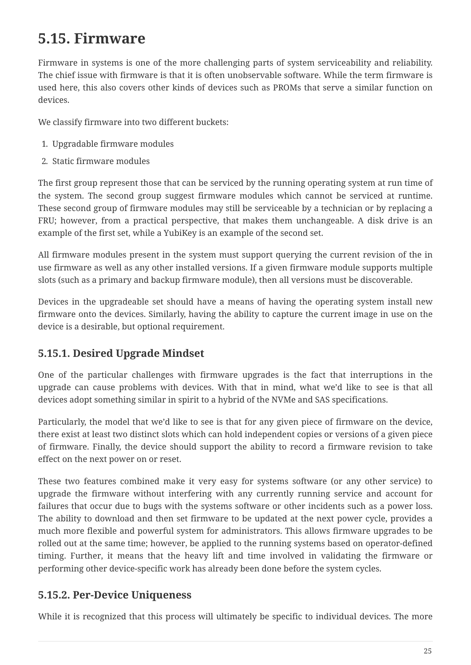## <span id="page-27-0"></span>**5.15. Firmware**

Firmware in systems is one of the more challenging parts of system serviceability and reliability. The chief issue with firmware is that it is often unobservable software. While the term firmware is used here, this also covers other kinds of devices such as PROMs that serve a similar function on devices.

We classify firmware into two different buckets:

- 1. Upgradable firmware modules
- 2. Static firmware modules

The first group represent those that can be serviced by the running operating system at run time of the system. The second group suggest firmware modules which cannot be serviced at runtime. These second group of firmware modules may still be serviceable by a technician or by replacing a FRU; however, from a practical perspective, that makes them unchangeable. A disk drive is an example of the first set, while a YubiKey is an example of the second set.

All firmware modules present in the system must support querying the current revision of the in use firmware as well as any other installed versions. If a given firmware module supports multiple slots (such as a primary and backup firmware module), then all versions must be discoverable.

Devices in the upgradeable set should have a means of having the operating system install new firmware onto the devices. Similarly, having the ability to capture the current image in use on the device is a desirable, but optional requirement.

## **5.15.1. Desired Upgrade Mindset**

One of the particular challenges with firmware upgrades is the fact that interruptions in the upgrade can cause problems with devices. With that in mind, what we'd like to see is that all devices adopt something similar in spirit to a hybrid of the NVMe and SAS specifications.

Particularly, the model that we'd like to see is that for any given piece of firmware on the device, there exist at least two distinct slots which can hold independent copies or versions of a given piece of firmware. Finally, the device should support the ability to record a firmware revision to take effect on the next power on or reset.

These two features combined make it very easy for systems software (or any other service) to upgrade the firmware without interfering with any currently running service and account for failures that occur due to bugs with the systems software or other incidents such as a power loss. The ability to download and then set firmware to be updated at the next power cycle, provides a much more flexible and powerful system for administrators. This allows firmware upgrades to be rolled out at the same time; however, be applied to the running systems based on operator-defined timing. Further, it means that the heavy lift and time involved in validating the firmware or performing other device-specific work has already been done before the system cycles.

## **5.15.2. Per-Device Uniqueness**

While it is recognized that this process will ultimately be specific to individual devices. The more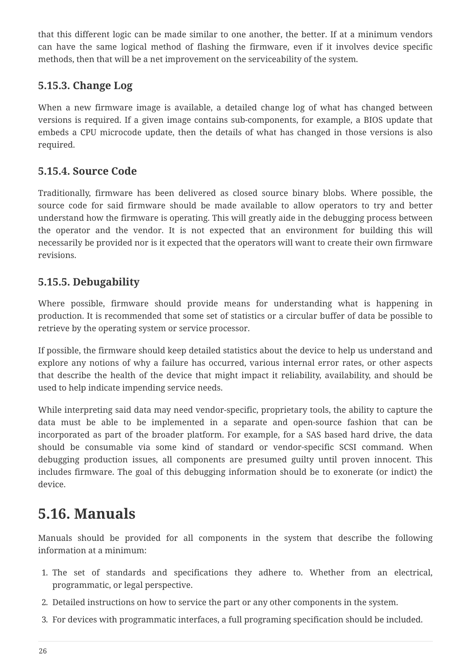that this different logic can be made similar to one another, the better. If at a minimum vendors can have the same logical method of flashing the firmware, even if it involves device specific methods, then that will be a net improvement on the serviceability of the system.

## **5.15.3. Change Log**

When a new firmware image is available, a detailed change log of what has changed between versions is required. If a given image contains sub-components, for example, a BIOS update that embeds a CPU microcode update, then the details of what has changed in those versions is also required.

### **5.15.4. Source Code**

Traditionally, firmware has been delivered as closed source binary blobs. Where possible, the source code for said firmware should be made available to allow operators to try and better understand how the firmware is operating. This will greatly aide in the debugging process between the operator and the vendor. It is not expected that an environment for building this will necessarily be provided nor is it expected that the operators will want to create their own firmware revisions.

### **5.15.5. Debugability**

Where possible, firmware should provide means for understanding what is happening in production. It is recommended that some set of statistics or a circular buffer of data be possible to retrieve by the operating system or service processor.

If possible, the firmware should keep detailed statistics about the device to help us understand and explore any notions of why a failure has occurred, various internal error rates, or other aspects that describe the health of the device that might impact it reliability, availability, and should be used to help indicate impending service needs.

While interpreting said data may need vendor-specific, proprietary tools, the ability to capture the data must be able to be implemented in a separate and open-source fashion that can be incorporated as part of the broader platform. For example, for a SAS based hard drive, the data should be consumable via some kind of standard or vendor-specific SCSI command. When debugging production issues, all components are presumed guilty until proven innocent. This includes firmware. The goal of this debugging information should be to exonerate (or indict) the device.

## <span id="page-28-0"></span>**5.16. Manuals**

Manuals should be provided for all components in the system that describe the following information at a minimum:

- 1. The set of standards and specifications they adhere to. Whether from an electrical, programmatic, or legal perspective.
- 2. Detailed instructions on how to service the part or any other components in the system.
- 3. For devices with programmatic interfaces, a full programing specification should be included.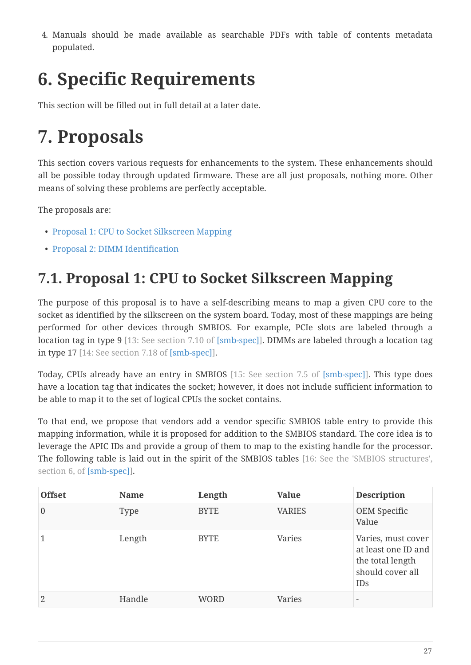4. Manuals should be made available as searchable PDFs with table of contents metadata populated.

# <span id="page-29-0"></span>**6. Specific Requirements**

This section will be filled out in full detail at a later date.

# <span id="page-29-1"></span>**7. Proposals**

This section covers various requests for enhancements to the system. These enhancements should all be possible today through updated firmware. These are all just proposals, nothing more. Other means of solving these problems are perfectly acceptable.

The proposals are:

- [Proposal 1: CPU to Socket Silkscreen Mapping](#page-29-2)
- [Proposal 2: DIMM Identification](#page-31-0)

## <span id="page-29-2"></span>**7.1. Proposal 1: CPU to Socket Silkscreen Mapping**

The purpose of this proposal is to have a self-describing means to map a given CPU core to the socket as identified by the silkscreen on the system board. Today, most of these mappings are being performed for other devices through SMBIOS. For example, PCIe slots are labeled through a location tag in type 9 [13: See section 7.10 of [\[smb-spec\]\]](#page-36-4). DIMMs are labeled through a location tag in type 17 [14: See section 7.18 of [\[smb-spec\]](#page-36-4)].

Today, CPUs already have an entry in SMBIOS [15: See section 7.5 of [\[smb-spec\]](#page-36-4)]. This type does have a location tag that indicates the socket; however, it does not include sufficient information to be able to map it to the set of logical CPUs the socket contains.

To that end, we propose that vendors add a vendor specific SMBIOS table entry to provide this mapping information, while it is proposed for addition to the SMBIOS standard. The core idea is to leverage the APIC IDs and provide a group of them to map to the existing handle for the processor. The following table is laid out in the spirit of the SMBIOS tables [16: See the 'SMBIOS structures', section 6, of [\[smb-spec\]](#page-36-4)].

| <b>Offset</b>  | <b>Name</b> | Length      | <b>Value</b>  | <b>Description</b>                                                                              |
|----------------|-------------|-------------|---------------|-------------------------------------------------------------------------------------------------|
| $\overline{0}$ | Type        | <b>BYTE</b> | <b>VARIES</b> | OEM Specific<br>Value                                                                           |
|                | Length      | <b>BYTE</b> | Varies        | Varies, must cover<br>at least one ID and<br>the total length<br>should cover all<br><b>IDs</b> |
| 2              | Handle      | <b>WORD</b> | <b>Varies</b> | $\overline{\phantom{a}}$                                                                        |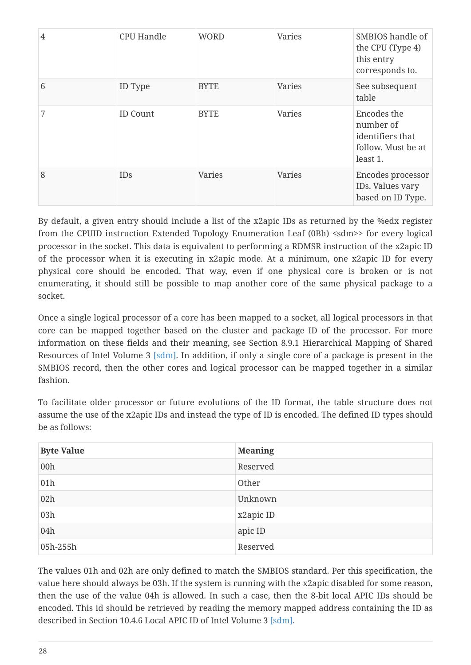| $\overline{4}$ | <b>CPU Handle</b> | <b>WORD</b>   | Varies | SMBIOS handle of<br>the CPU (Type 4)<br>this entry<br>corresponds to.          |
|----------------|-------------------|---------------|--------|--------------------------------------------------------------------------------|
| 6              | ID Type           | <b>BYTE</b>   | Varies | See subsequent<br>table                                                        |
| 7              | <b>ID Count</b>   | <b>BYTE</b>   | Varies | Encodes the<br>number of<br>identifiers that<br>follow. Must be at<br>least 1. |
| 8              | <b>IDs</b>        | <b>Varies</b> | Varies | Encodes processor<br>IDs. Values vary<br>based on ID Type.                     |

By default, a given entry should include a list of the x2apic IDs as returned by the %edx register from the CPUID instruction Extended Topology Enumeration Leaf (0Bh) <sdm>> for every logical processor in the socket. This data is equivalent to performing a RDMSR instruction of the x2apic ID of the processor when it is executing in x2apic mode. At a minimum, one x2apic ID for every physical core should be encoded. That way, even if one physical core is broken or is not enumerating, it should still be possible to map another core of the same physical package to a socket.

Once a single logical processor of a core has been mapped to a socket, all logical processors in that core can be mapped together based on the cluster and package ID of the processor. For more information on these fields and their meaning, see Section 8.9.1 Hierarchical Mapping of Shared Resources of Intel Volume 3 [\[sdm\].](#page-36-3) In addition, if only a single core of a package is present in the SMBIOS record, then the other cores and logical processor can be mapped together in a similar fashion.

To facilitate older processor or future evolutions of the ID format, the table structure does not assume the use of the x2apic IDs and instead the type of ID is encoded. The defined ID types should be as follows:

| <b>Byte Value</b> | <b>Meaning</b> |
|-------------------|----------------|
| 00h               | Reserved       |
| 01h               | Other          |
| 02h               | Unknown        |
| 03h               | x2apic ID      |
| 04h               | apic ID        |
| 05h-255h          | Reserved       |

The values 01h and 02h are only defined to match the SMBIOS standard. Per this specification, the value here should always be 03h. If the system is running with the x2apic disabled for some reason, then the use of the value 04h is allowed. In such a case, then the 8-bit local APIC IDs should be encoded. This id should be retrieved by reading the memory mapped address containing the ID as described in Section 10.4.6 Local APIC ID of Intel Volume 3 [\[sdm\]](#page-36-3).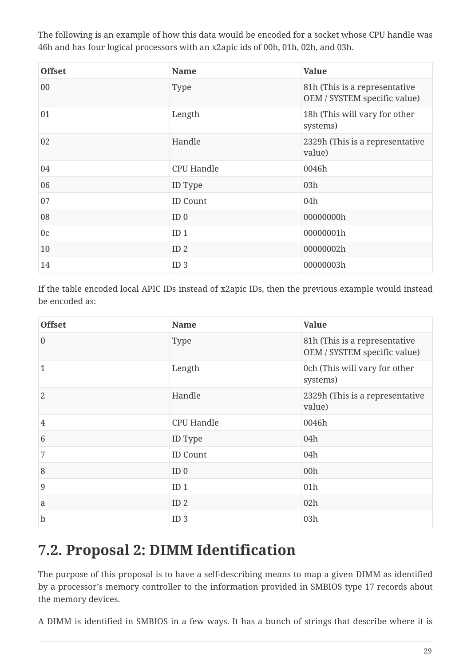The following is an example of how this data would be encoded for a socket whose CPU handle was 46h and has four logical processors with an x2apic ids of 00h, 01h, 02h, and 03h.

| <b>Offset</b>  | <b>Name</b>       | <b>Value</b>                                                  |
|----------------|-------------------|---------------------------------------------------------------|
| 00             | Type              | 81h (This is a representative<br>OEM / SYSTEM specific value) |
| 01             | Length            | 18h (This will vary for other<br>systems)                     |
| 02             | Handle            | 2329h (This is a representative<br>value)                     |
| 04             | <b>CPU Handle</b> | 0046h                                                         |
| 06             | ID Type           | 03h                                                           |
| 07             | <b>ID Count</b>   | 04h                                                           |
| 08             | ID <sub>0</sub>   | 00000000h                                                     |
| 0 <sub>c</sub> | ID <sub>1</sub>   | 00000001h                                                     |
| 10             | ID <sub>2</sub>   | 00000002h                                                     |
| 14             | ID <sub>3</sub>   | 00000003h                                                     |

If the table encoded local APIC IDs instead of x2apic IDs, then the previous example would instead be encoded as:

| <b>Offset</b>  | <b>Name</b>       | <b>Value</b>                                                  |
|----------------|-------------------|---------------------------------------------------------------|
| $\overline{0}$ | Type              | 81h (This is a representative<br>OEM / SYSTEM specific value) |
| 1              | Length            | 0ch (This will vary for other<br>systems)                     |
| $\overline{2}$ | Handle            | 2329h (This is a representative<br>value)                     |
| 4              | <b>CPU Handle</b> | 0046h                                                         |
| 6              | ID Type           | 04h                                                           |
| 7              | <b>ID Count</b>   | 04h                                                           |
| 8              | ID <sub>0</sub>   | 00h                                                           |
| $\overline{9}$ | ID <sub>1</sub>   | 01h                                                           |
| a              | ID <sub>2</sub>   | 02h                                                           |
| $\mathbf b$    | ID <sub>3</sub>   | 03h                                                           |

## <span id="page-31-0"></span>**7.2. Proposal 2: DIMM Identification**

The purpose of this proposal is to have a self-describing means to map a given DIMM as identified by a processor's memory controller to the information provided in SMBIOS type 17 records about the memory devices.

A DIMM is identified in SMBIOS in a few ways. It has a bunch of strings that describe where it is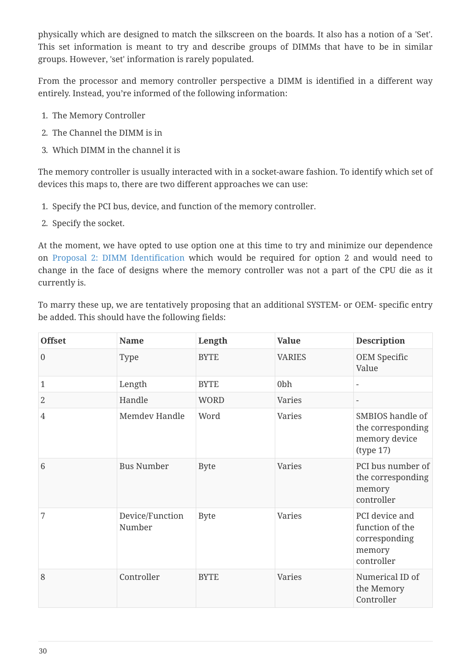physically which are designed to match the silkscreen on the boards. It also has a notion of a 'Set'. This set information is meant to try and describe groups of DIMMs that have to be in similar groups. However, 'set' information is rarely populated.

From the processor and memory controller perspective a DIMM is identified in a different way entirely. Instead, you're informed of the following information:

- 1. The Memory Controller
- 2. The Channel the DIMM is in
- 3. Which DIMM in the channel it is

The memory controller is usually interacted with in a socket-aware fashion. To identify which set of devices this maps to, there are two different approaches we can use:

- 1. Specify the PCI bus, device, and function of the memory controller.
- 2. Specify the socket.

At the moment, we have opted to use option one at this time to try and minimize our dependence on [Proposal 2: DIMM Identification](#page-31-0) which would be required for option 2 and would need to change in the face of designs where the memory controller was not a part of the CPU die as it currently is.

To marry these up, we are tentatively proposing that an additional SYSTEM- or OEM- specific entry be added. This should have the following fields:

| <b>Offset</b>    | <b>Name</b>               | Length      | <b>Value</b>    | <b>Description</b>                                                         |
|------------------|---------------------------|-------------|-----------------|----------------------------------------------------------------------------|
| $\boldsymbol{0}$ | Type                      | <b>BYTE</b> | <b>VARIES</b>   | OEM Specific<br>Value                                                      |
| $\mathbf{1}$     | Length                    | <b>BYTE</b> | 0 <sub>bh</sub> | $\overline{\phantom{a}}$                                                   |
| $\overline{2}$   | Handle                    | <b>WORD</b> | Varies          | $\overline{\phantom{a}}$                                                   |
| $\overline{4}$   | Memdev Handle             | Word        | <b>Varies</b>   | SMBIOS handle of<br>the corresponding<br>memory device<br>(type 17)        |
| 6                | <b>Bus Number</b>         | <b>Byte</b> | <b>Varies</b>   | PCI bus number of<br>the corresponding<br>memory<br>controller             |
| 7                | Device/Function<br>Number | <b>Byte</b> | Varies          | PCI device and<br>function of the<br>corresponding<br>memory<br>controller |
| 8                | Controller                | <b>BYTE</b> | Varies          | Numerical ID of<br>the Memory<br>Controller                                |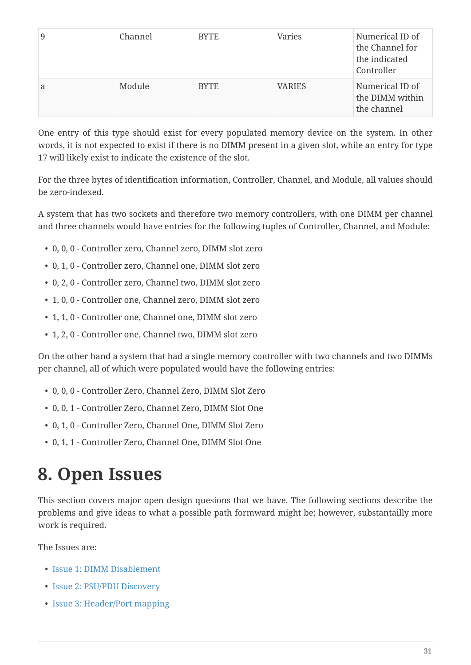| 9 | Channel | <b>BYTE</b> | Varies        | Numerical ID of<br>the Channel for<br>the indicated<br>Controller |
|---|---------|-------------|---------------|-------------------------------------------------------------------|
| a | Module  | <b>BYTE</b> | <b>VARIES</b> | Numerical ID of<br>the DIMM within<br>the channel                 |

One entry of this type should exist for every populated memory device on the system. In other words, it is not expected to exist if there is no DIMM present in a given slot, while an entry for type 17 will likely exist to indicate the existence of the slot.

For the three bytes of identification information, Controller, Channel, and Module, all values should be zero-indexed.

A system that has two sockets and therefore two memory controllers, with one DIMM per channel and three channels would have entries for the following tuples of Controller, Channel, and Module:

- 0, 0, 0 Controller zero, Channel zero, DIMM slot zero
- 0, 1, 0 Controller zero, Channel one, DIMM slot zero
- 0, 2, 0 Controller zero, Channel two, DIMM slot zero
- 1, 0, 0 Controller one, Channel zero, DIMM slot zero
- 1, 1, 0 Controller one, Channel one, DIMM slot zero
- 1, 2, 0 Controller one, Channel two, DIMM slot zero

On the other hand a system that had a single memory controller with two channels and two DIMMs per channel, all of which were populated would have the following entries:

- 0, 0, 0 Controller Zero, Channel Zero, DIMM Slot Zero
- 0, 0, 1 Controller Zero, Channel Zero, DIMM Slot One
- 0, 1, 0 Controller Zero, Channel One, DIMM Slot Zero
- 0, 1, 1 Controller Zero, Channel One, DIMM Slot One

# <span id="page-33-0"></span>**8. Open Issues**

This section covers major open design quesions that we have. The following sections describe the problems and give ideas to what a possible path formward might be; however, substantailly more work is required.

The Issues are:

- [Issue 1: DIMM Disablement](#page-34-0)
- [Issue 2: PSU/PDU Discovery](#page-34-1)
- [Issue 3: Header/Port mapping](#page-35-0)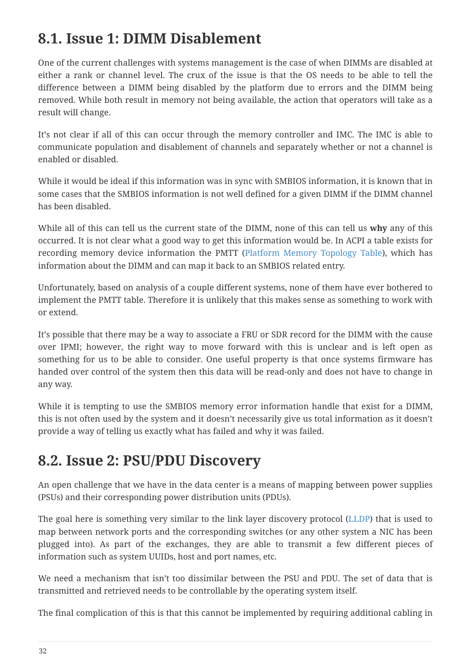## <span id="page-34-0"></span>**8.1. Issue 1: DIMM Disablement**

One of the current challenges with systems management is the case of when DIMMs are disabled at either a rank or channel level. The crux of the issue is that the OS needs to be able to tell the difference between a DIMM being disabled by the platform due to errors and the DIMM being removed. While both result in memory not being available, the action that operators will take as a result will change.

It's not clear if all of this can occur through the memory controller and IMC. The IMC is able to communicate population and disablement of channels and separately whether or not a channel is enabled or disabled.

While it would be ideal if this information was in sync with SMBIOS information, it is known that in some cases that the SMBIOS information is not well defined for a given DIMM if the DIMM channel has been disabled.

While all of this can tell us the current state of the DIMM, none of this can tell us **why** any of this occurred. It is not clear what a good way to get this information would be. In ACPI a table exists for recording memory device information the PMTT ([Platform Memory Topology Table](#page-40-1)), which has information about the DIMM and can map it back to an SMBIOS related entry.

Unfortunately, based on analysis of a couple different systems, none of them have ever bothered to implement the PMTT table. Therefore it is unlikely that this makes sense as something to work with or extend.

It's possible that there may be a way to associate a FRU or SDR record for the DIMM with the cause over IPMI; however, the right way to move forward with this is unclear and is left open as something for us to be able to consider. One useful property is that once systems firmware has handed over control of the system then this data will be read-only and does not have to change in any way.

While it is tempting to use the SMBIOS memory error information handle that exist for a DIMM, this is not often used by the system and it doesn't necessarily give us total information as it doesn't provide a way of telling us exactly what has failed and why it was failed.

## <span id="page-34-1"></span>**8.2. Issue 2: PSU/PDU Discovery**

An open challenge that we have in the data center is a means of mapping between power supplies (PSUs) and their corresponding power distribution units (PDUs).

The goal here is something very similar to the link layer discovery protocol ([LLDP\)](#page-39-2) that is used to map between network ports and the corresponding switches (or any other system a NIC has been plugged into). As part of the exchanges, they are able to transmit a few different pieces of information such as system UUIDs, host and port names, etc.

We need a mechanism that isn't too dissimilar between the PSU and PDU. The set of data that is transmitted and retrieved needs to be controllable by the operating system itself.

The final complication of this is that this cannot be implemented by requiring additional cabling in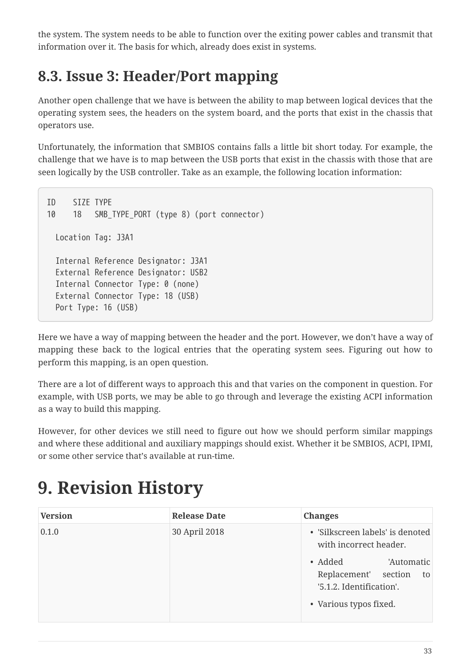the system. The system needs to be able to function over the exiting power cables and transmit that information over it. The basis for which, already does exist in systems.

## <span id="page-35-0"></span>**8.3. Issue 3: Header/Port mapping**

Another open challenge that we have is between the ability to map between logical devices that the operating system sees, the headers on the system board, and the ports that exist in the chassis that operators use.

Unfortunately, the information that SMBIOS contains falls a little bit short today. For example, the challenge that we have is to map between the USB ports that exist in the chassis with those that are seen logically by the USB controller. Take as an example, the following location information:

```
ID SIZE TYPE
10 18 SMB_TYPE_PORT (type 8) (port connector)
   Location Tag: J3A1
   Internal Reference Designator: J3A1
   External Reference Designator: USB2
   Internal Connector Type: 0 (none)
   External Connector Type: 18 (USB)
   Port Type: 16 (USB)
```
Here we have a way of mapping between the header and the port. However, we don't have a way of mapping these back to the logical entries that the operating system sees. Figuring out how to perform this mapping, is an open question.

There are a lot of different ways to approach this and that varies on the component in question. For example, with USB ports, we may be able to go through and leverage the existing ACPI information as a way to build this mapping.

However, for other devices we still need to figure out how we should perform similar mappings and where these additional and auxiliary mappings should exist. Whether it be SMBIOS, ACPI, IPMI, or some other service that's available at run-time.

# <span id="page-35-1"></span>**9. Revision History**

| <b>Version</b> | <b>Release Date</b> | <b>Changes</b>                                                                                                    |
|----------------|---------------------|-------------------------------------------------------------------------------------------------------------------|
| 0.1.0          | 30 April 2018       | • 'Silkscreen labels' is denoted<br>with incorrect header.                                                        |
|                |                     | 'Automatic<br>$\bullet$ Added<br>Replacement' section<br>to<br>'5.1.2. Identification'.<br>• Various typos fixed. |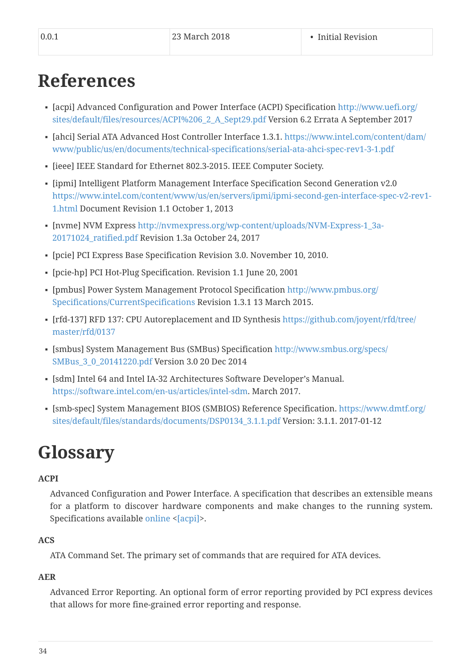# <span id="page-36-0"></span>**References**

- <span id="page-36-10"></span>▪ [acpi] Advanced Configuration and Power Interface (ACPI) Specification [http://www.uefi.org/](http://www.uefi.org/sites/default/files/resources/ACPI%206_2_A_Sept29.pdf) [sites/default/files/resources/ACPI%206\\_2\\_A\\_Sept29.pdf](http://www.uefi.org/sites/default/files/resources/ACPI%206_2_A_Sept29.pdf) Version 6.2 Errata A September 2017
- <span id="page-36-8"></span>▪ [ahci] Serial ATA Advanced Host Controller Interface 1.3.1. [https://www.intel.com/content/dam/](https://www.intel.com/content/dam/www/public/us/en/documents/technical-specifications/serial-ata-ahci-spec-rev1-3-1.pdf) [www/public/us/en/documents/technical-specifications/serial-ata-ahci-spec-rev1-3-1.pdf](https://www.intel.com/content/dam/www/public/us/en/documents/technical-specifications/serial-ata-ahci-spec-rev1-3-1.pdf)
- <span id="page-36-9"></span>▪ [ieee] IEEE Standard for Ethernet 802.3-2015. IEEE Computer Society.
- <span id="page-36-11"></span>▪ [ipmi] Intelligent Platform Management Interface Specification Second Generation v2.0 [https://www.intel.com/content/www/us/en/servers/ipmi/ipmi-second-gen-interface-spec-v2-rev1-](https://www.intel.com/content/www/us/en/servers/ipmi/ipmi-second-gen-interface-spec-v2-rev1-1.html) [1.html](https://www.intel.com/content/www/us/en/servers/ipmi/ipmi-second-gen-interface-spec-v2-rev1-1.html) Document Revision 1.1 October 1, 2013
- <span id="page-36-6"></span>▪ [nvme] NVM Express [http://nvmexpress.org/wp-content/uploads/NVM-Express-1\\_3a-](http://nvmexpress.org/wp-content/uploads/NVM-Express-1_3a-20171024_ratified.pdf)[20171024\\_ratified.pdf](http://nvmexpress.org/wp-content/uploads/NVM-Express-1_3a-20171024_ratified.pdf) Revision 1.3a October 24, 2017
- <span id="page-36-7"></span>▪ [pcie] PCI Express Base Specification Revision 3.0. November 10, 2010.
- [pcie-hp] PCI Hot-Plug Specification. Revision 1.1 June 20, 2001
- <span id="page-36-12"></span>▪ [pmbus] Power System Management Protocol Specification [http://www.pmbus.org/](http://www.pmbus.org/Specifications/CurrentSpecifications) [Specifications/CurrentSpecifications](http://www.pmbus.org/Specifications/CurrentSpecifications) Revision 1.3.1 13 March 2015.
- <span id="page-36-5"></span>▪ [rfd-137] RFD 137: CPU Autoreplacement and ID Synthesis [https://github.com/joyent/rfd/tree/](https://github.com/joyent/rfd/tree/master/rfd/0137) [master/rfd/0137](https://github.com/joyent/rfd/tree/master/rfd/0137)
- <span id="page-36-13"></span>▪ [smbus] System Management Bus (SMBus) Specification [http://www.smbus.org/specs/](http://www.smbus.org/specs/SMBus_3_0_20141220.pdf) [SMBus\\_3\\_0\\_20141220.pdf](http://www.smbus.org/specs/SMBus_3_0_20141220.pdf) Version 3.0 20 Dec 2014
- <span id="page-36-3"></span>▪ [sdm] Intel 64 and Intel IA-32 Architectures Software Developer's Manual. <https://software.intel.com/en-us/articles/intel-sdm>. March 2017.
- <span id="page-36-4"></span>▪ [smb-spec] System Management BIOS (SMBIOS) Reference Specification. [https://www.dmtf.org/](https://www.dmtf.org/sites/default/files/standards/documents/DSP0134_3.1.1.pdf) [sites/default/files/standards/documents/DSP0134\\_3.1.1.pdf](https://www.dmtf.org/sites/default/files/standards/documents/DSP0134_3.1.1.pdf) Version: 3.1.1. 2017-01-12

# <span id="page-36-1"></span>**Glossary**

### <span id="page-36-2"></span>**ACPI**

Advanced Configuration and Power Interface. A specification that describes an extensible means for a platform to discover hardware components and make changes to the running system. Specifications available [online](http://www.uefi.org/acpi/specs) <[\[acpi\]](#page-36-10)>.

### **ACS**

ATA Command Set. The primary set of commands that are required for ATA devices.

## **AER**

Advanced Error Reporting. An optional form of error reporting provided by PCI express devices that allows for more fine-grained error reporting and response.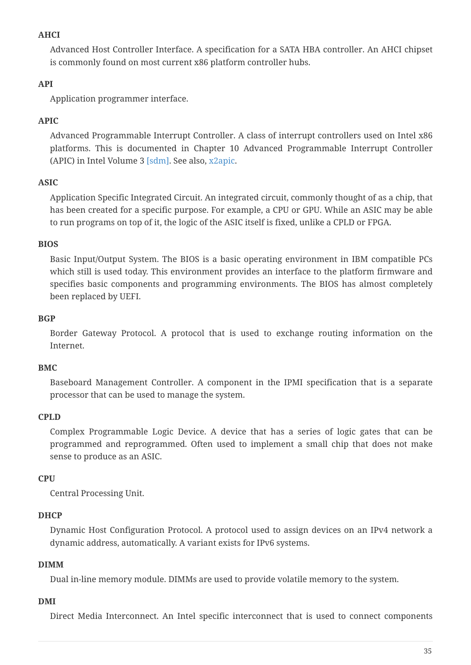### **AHCI**

Advanced Host Controller Interface. A specification for a SATA HBA controller. An AHCI chipset is commonly found on most current x86 platform controller hubs.

### **API**

Application programmer interface.

### **APIC**

Advanced Programmable Interrupt Controller. A class of interrupt controllers used on Intel x86 platforms. This is documented in Chapter 10 Advanced Programmable Interrupt Controller (APIC) in Intel Volume 3 [\[sdm\].](#page-36-3) See also, [x2apic.](#page-43-0)

### **ASIC**

Application Specific Integrated Circuit. An integrated circuit, commonly thought of as a chip, that has been created for a specific purpose. For example, a CPU or GPU. While an ASIC may be able to run programs on top of it, the logic of the ASIC itself is fixed, unlike a CPLD or FPGA.

### **BIOS**

Basic Input/Output System. The BIOS is a basic operating environment in IBM compatible PCs which still is used today. This environment provides an interface to the platform firmware and specifies basic components and programming environments. The BIOS has almost completely been replaced by UEFI.

#### **BGP**

Border Gateway Protocol. A protocol that is used to exchange routing information on the Internet.

### <span id="page-37-0"></span>**BMC**

Baseboard Management Controller. A component in the IPMI specification that is a separate processor that can be used to manage the system.

### **CPLD**

Complex Programmable Logic Device. A device that has a series of logic gates that can be programmed and reprogrammed. Often used to implement a small chip that does not make sense to produce as an ASIC.

### **CPU**

Central Processing Unit.

### **DHCP**

Dynamic Host Configuration Protocol. A protocol used to assign devices on an IPv4 network a dynamic address, automatically. A variant exists for IPv6 systems.

### **DIMM**

Dual in-line memory module. DIMMs are used to provide volatile memory to the system.

### **DMI**

Direct Media Interconnect. An Intel specific interconnect that is used to connect components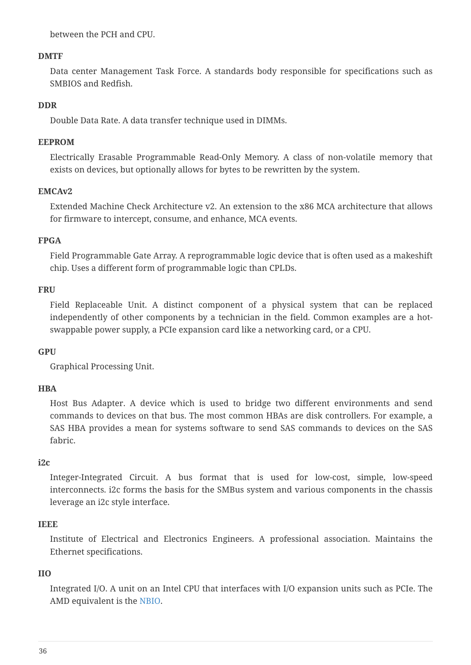between the PCH and CPU.

### **DMTF**

Data center Management Task Force. A standards body responsible for specifications such as SMBIOS and Redfish.

#### **DDR**

Double Data Rate. A data transfer technique used in DIMMs.

#### **EEPROM**

Electrically Erasable Programmable Read-Only Memory. A class of non-volatile memory that exists on devices, but optionally allows for bytes to be rewritten by the system.

#### <span id="page-38-0"></span>**EMCAv2**

Extended Machine Check Architecture v2. An extension to the x86 MCA architecture that allows for firmware to intercept, consume, and enhance, MCA events.

### **FPGA**

Field Programmable Gate Array. A reprogrammable logic device that is often used as a makeshift chip. Uses a different form of programmable logic than CPLDs.

#### **FRU**

Field Replaceable Unit. A distinct component of a physical system that can be replaced independently of other components by a technician in the field. Common examples are a hotswappable power supply, a PCIe expansion card like a networking card, or a CPU.

#### **GPU**

Graphical Processing Unit.

### **HBA**

Host Bus Adapter. A device which is used to bridge two different environments and send commands to devices on that bus. The most common HBAs are disk controllers. For example, a SAS HBA provides a mean for systems software to send SAS commands to devices on the SAS fabric.

#### **i2c**

Integer-Integrated Circuit. A bus format that is used for low-cost, simple, low-speed interconnects. i2c forms the basis for the SMBus system and various components in the chassis leverage an i2c style interface.

#### **IEEE**

Institute of Electrical and Electronics Engineers. A professional association. Maintains the Ethernet specifications.

### <span id="page-38-1"></span>**IIO**

Integrated I/O. A unit on an Intel CPU that interfaces with I/O expansion units such as PCIe. The AMD equivalent is the [NBIO.](#page-39-3)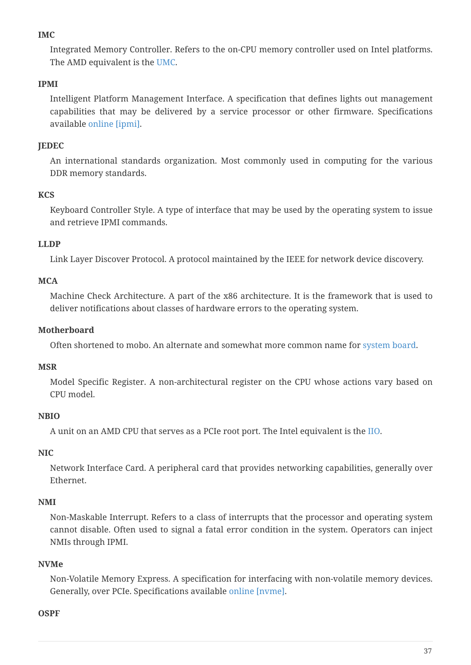### <span id="page-39-4"></span>**IMC**

Integrated Memory Controller. Refers to the on-CPU memory controller used on Intel platforms. The AMD equivalent is the [UMC.](#page-42-2)

### <span id="page-39-0"></span>**IPMI**

Intelligent Platform Management Interface. A specification that defines lights out management capabilities that may be delivered by a service processor or other firmware. Specifications available [online](https://www.intel.com/content/www/us/en/servers/ipmi/ipmi-second-gen-interface-spec-v2-rev1-1.html) [\[ipmi\].](#page-36-11)

### **JEDEC**

An international standards organization. Most commonly used in computing for the various DDR memory standards.

### **KCS**

Keyboard Controller Style. A type of interface that may be used by the operating system to issue and retrieve IPMI commands.

### <span id="page-39-2"></span>**LLDP**

Link Layer Discover Protocol. A protocol maintained by the IEEE for network device discovery.

### <span id="page-39-1"></span>**MCA**

Machine Check Architecture. A part of the x86 architecture. It is the framework that is used to deliver notifications about classes of hardware errors to the operating system.

### **Motherboard**

Often shortened to mobo. An alternate and somewhat more common name for [system board.](#page-42-3)

### **MSR**

Model Specific Register. A non-architectural register on the CPU whose actions vary based on CPU model.

### <span id="page-39-3"></span>**NBIO**

A unit on an AMD CPU that serves as a PCIe root port. The Intel equivalent is the [IIO.](#page-38-1)

### **NIC**

Network Interface Card. A peripheral card that provides networking capabilities, generally over Ethernet.

### **NMI**

Non-Maskable Interrupt. Refers to a class of interrupts that the processor and operating system cannot disable. Often used to signal a fatal error condition in the system. Operators can inject NMIs through IPMI.

### **NVMe**

Non-Volatile Memory Express. A specification for interfacing with non-volatile memory devices. Generally, over PCIe. Specifications available [online](http://nvmexpress.org/resources/specifications/) [\[nvme\].](#page-36-6)

#### **OSPF**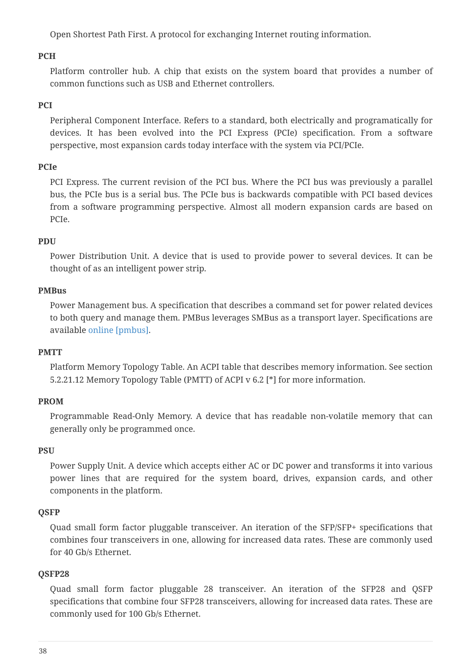Open Shortest Path First. A protocol for exchanging Internet routing information.

### **PCH**

Platform controller hub. A chip that exists on the system board that provides a number of common functions such as USB and Ethernet controllers.

### **PCI**

Peripheral Component Interface. Refers to a standard, both electrically and programatically for devices. It has been evolved into the PCI Express (PCIe) specification. From a software perspective, most expansion cards today interface with the system via PCI/PCIe.

### **PCIe**

PCI Express. The current revision of the PCI bus. Where the PCI bus was previously a parallel bus, the PCIe bus is a serial bus. The PCIe bus is backwards compatible with PCI based devices from a software programming perspective. Almost all modern expansion cards are based on PCIe.

### **PDU**

Power Distribution Unit. A device that is used to provide power to several devices. It can be thought of as an intelligent power strip.

### <span id="page-40-0"></span>**PMBus**

Power Management bus. A specification that describes a command set for power related devices to both query and manage them. PMBus leverages SMBus as a transport layer. Specifications are available [online](http://www.pmbus.org/Specifications/CurrentSpecifications) [\[pmbus\].](#page-36-12)

### <span id="page-40-1"></span>**PMTT**

Platform Memory Topology Table. An ACPI table that describes memory information. See section 5.2.21.12 Memory Topology Table (PMTT) of ACPI v 6.2 [\*] for more information.

#### **PROM**

Programmable Read-Only Memory. A device that has readable non-volatile memory that can generally only be programmed once.

#### **PSU**

Power Supply Unit. A device which accepts either AC or DC power and transforms it into various power lines that are required for the system board, drives, expansion cards, and other components in the platform.

#### **QSFP**

Quad small form factor pluggable transceiver. An iteration of the SFP/SFP+ specifications that combines four transceivers in one, allowing for increased data rates. These are commonly used for 40 Gb/s Ethernet.

### **QSFP28**

Quad small form factor pluggable 28 transceiver. An iteration of the SFP28 and QSFP specifications that combine four SFP28 transceivers, allowing for increased data rates. These are commonly used for 100 Gb/s Ethernet.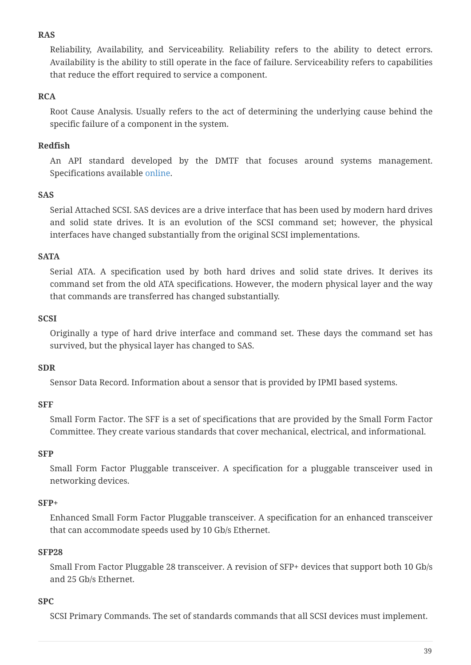### **RAS**

Reliability, Availability, and Serviceability. Reliability refers to the ability to detect errors. Availability is the ability to still operate in the face of failure. Serviceability refers to capabilities that reduce the effort required to service a component.

### **RCA**

Root Cause Analysis. Usually refers to the act of determining the underlying cause behind the specific failure of a component in the system.

### <span id="page-41-0"></span>**Redfish**

An API standard developed by the DMTF that focuses around systems management. Specifications available [online](https://www.dmtf.org/standards/redfish).

### **SAS**

Serial Attached SCSI. SAS devices are a drive interface that has been used by modern hard drives and solid state drives. It is an evolution of the SCSI command set; however, the physical interfaces have changed substantially from the original SCSI implementations.

### **SATA**

Serial ATA. A specification used by both hard drives and solid state drives. It derives its command set from the old ATA specifications. However, the modern physical layer and the way that commands are transferred has changed substantially.

### **SCSI**

Originally a type of hard drive interface and command set. These days the command set has survived, but the physical layer has changed to SAS.

### **SDR**

Sensor Data Record. Information about a sensor that is provided by IPMI based systems.

### **SFF**

Small Form Factor. The SFF is a set of specifications that are provided by the Small Form Factor Committee. They create various standards that cover mechanical, electrical, and informational.

### **SFP**

Small Form Factor Pluggable transceiver. A specification for a pluggable transceiver used in networking devices.

### **SFP+**

Enhanced Small Form Factor Pluggable transceiver. A specification for an enhanced transceiver that can accommodate speeds used by 10 Gb/s Ethernet.

### **SFP28**

Small From Factor Pluggable 28 transceiver. A revision of SFP+ devices that support both 10 Gb/s and 25 Gb/s Ethernet.

### **SPC**

SCSI Primary Commands. The set of standards commands that all SCSI devices must implement.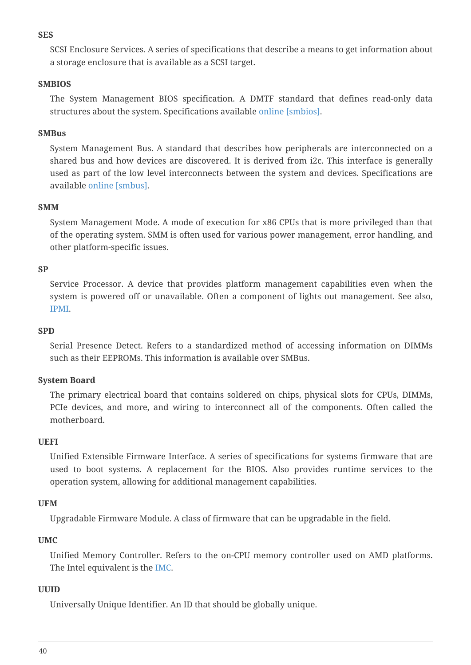#### <span id="page-42-0"></span>**SES**

SCSI Enclosure Services. A series of specifications that describe a means to get information about a storage enclosure that is available as a SCSI target.

### **SMBIOS**

The System Management BIOS specification. A DMTF standard that defines read-only data structures about the system. Specifications available [online](http://www.dmtf.org/standards/smbios) [smbios].

### <span id="page-42-1"></span>**SMBus**

System Management Bus. A standard that describes how peripherals are interconnected on a shared bus and how devices are discovered. It is derived from i2c. This interface is generally used as part of the low level interconnects between the system and devices. Specifications are available [online](http://www.smbus.org/specs/) [\[smbus\]](#page-36-13).

#### **SMM**

System Management Mode. A mode of execution for x86 CPUs that is more privileged than that of the operating system. SMM is often used for various power management, error handling, and other platform-specific issues.

#### **SP**

Service Processor. A device that provides platform management capabilities even when the system is powered off or unavailable. Often a component of lights out management. See also, [IPMI](#page-39-0).

#### **SPD**

Serial Presence Detect. Refers to a standardized method of accessing information on DIMMs such as their EEPROMs. This information is available over SMBus.

### <span id="page-42-3"></span>**System Board**

The primary electrical board that contains soldered on chips, physical slots for CPUs, DIMMs, PCIe devices, and more, and wiring to interconnect all of the components. Often called the motherboard.

#### **UEFI**

Unified Extensible Firmware Interface. A series of specifications for systems firmware that are used to boot systems. A replacement for the BIOS. Also provides runtime services to the operation system, allowing for additional management capabilities.

#### **UFM**

Upgradable Firmware Module. A class of firmware that can be upgradable in the field.

#### <span id="page-42-2"></span>**UMC**

Unified Memory Controller. Refers to the on-CPU memory controller used on AMD platforms. The Intel equivalent is the [IMC](#page-39-4).

#### **UUID**

Universally Unique Identifier. An ID that should be globally unique.